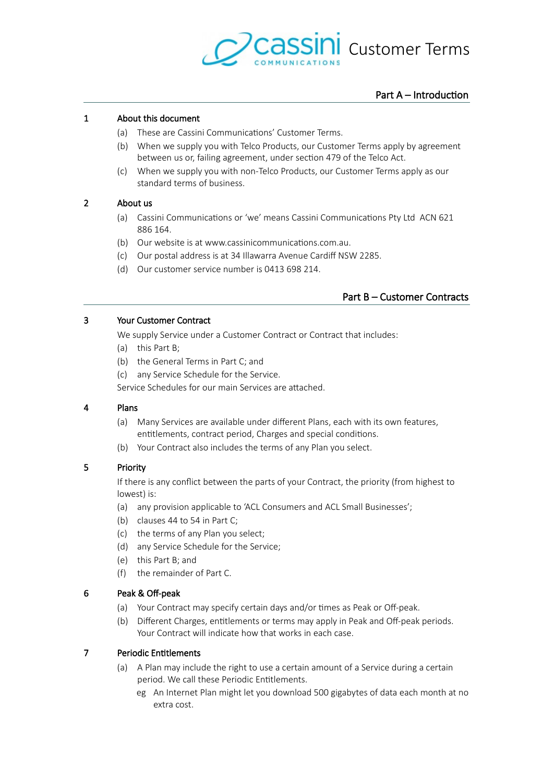

# Part A – Introduction

# 1 About this document

- <span id="page-0-2"></span>(a) These are Cassini Communications' Customer Terms.
- (b) When we supply you with Telco Products, our Customer Terms apply by agreement between us or, failing agreement, under section 479 of the Telco Act.
- (c) When we supply you with non-Telco Products, our Customer Terms apply as our standard terms of business.

# 2 About us

- <span id="page-0-1"></span>(a) Cassini Communications or 'we' means Cassini Communications Pty Ltd ACN 621 886 164
- (b) Our website is at www.cassinicommunications.com.au.
- (c) Our postal address is at 34 Illawarra Avenue Cardiff NSW 2285.
- (d) Our customer service number is 0413 698 214.

# <span id="page-0-0"></span>Part B – Customer Contracts

## 3 Your Customer Contract

<span id="page-0-3"></span>We supply Service under a Customer Contract or Contract that includes:

- (a) this [Part B;](#page-0-0)
- (b) the General Terms in [Part C;](#page-3-0) and
- (c) any Service Schedule for the Service.

Service Schedules for our main Services are atached.

## 4 Plans

- (a) Many Services are available under diferent Plans, each with its own features, entitlements, contract period, Charges and special conditions.
- (b) Your Contract also includes the terms of any Plan you select.

# 5 Priority

If there is any confict between the parts of your Contract, the priority (from highest to lowest) is:

- (a) any provision applicable to 'ACL Consumers and ACL Small Businesses';
- (b)clauses  $44$  to 54 in [Part C;](#page-3-0)
- (c) the terms of any Plan you select;
- (d) any Service Schedule for the Service;
- (e) this [Part B;](#page-0-0) and
- (f) the remainder of [Part C.](#page-3-0)

# 6 Peak & Off-peak

- <span id="page-0-5"></span>(a) Your Contract may specify certain days and/or times as Peak or Off-peak.
- (b) Different Charges, entitlements or terms may apply in Peak and Off-peak periods. Your Contract will indicate how that works in each case.

# 7 Periodic Entitlements

- <span id="page-0-4"></span>(a) A Plan may include the right to use a certain amount of a Service during a certain period. We call these Periodic Entitlements.
	- eg An Internet Plan might let you download 500 gigabytes of data each month at no extra cost.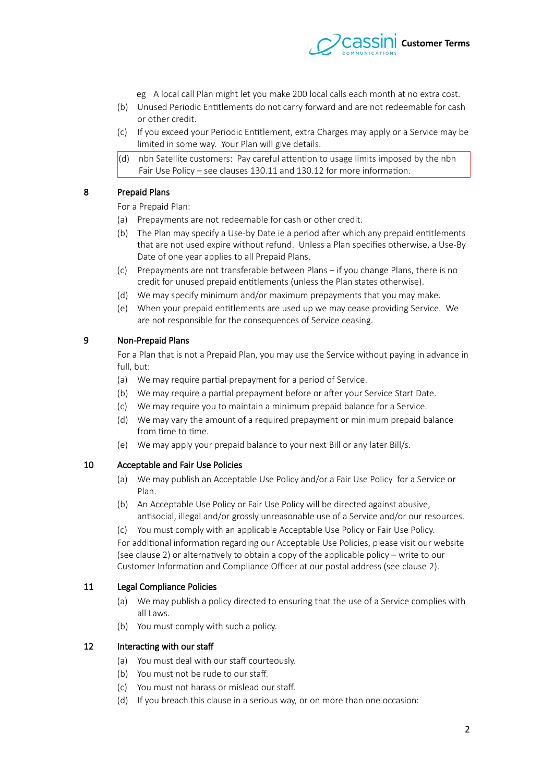

- eg A local call Plan might let you make 200 local calls each month at no extra cost.
- (b) Unused Periodic Entitlements do not carry forward and are not redeemable for cash or other credit.
- (c) If you exceed your Periodic Entitlement, extra Charges may apply or a Service may be limited in some way. Your Plan will give details.
- $(d)$  nbn Satellite customers: Pay careful attention to usage limits imposed by the nbn Fair Use Policy – see clauses [130.11](#page-42-1) and [130.12](#page-42-0) for more information.

# 8 Prepaid Plans

<span id="page-1-2"></span>For a Prepaid Plan:

- (a) Prepayments are not redeemable for cash or other credit.
- <span id="page-1-1"></span>(b) The Plan may specify a Use-by Date ie a period afer which any prepaid entitlements that are not used expire without refund. Unless a Plan specifes otherwise, a Use-By Date of one year applies to all Prepaid Plans.
- (c) Prepayments are not transferable between Plans if you change Plans, there is no credit for unused prepaid entitlements (unless the Plan states otherwise).
- (d) We may specify minimum and/or maximum prepayments that you may make.
- (e) When your prepaid entitlements are used up we may cease providing Service. We are not responsible for the consequences of Service ceasing.

# 9 Non-Prepaid Plans

For a Plan that is not a Prepaid Plan, you may use the Service without paying in advance in full, but:

- (a) We may require partial prepayment for a period of Service.
- (b) We may require a partial prepayment before or after your Service Start Date.
- (c) We may require you to maintain a minimum prepaid balance for a Service.
- (d) We may vary the amount of a required prepayment or minimum prepaid balance from time to time.
- (e) We may apply your prepaid balance to your next Bill or any later Bill/s.

## 10 Acceptable and Fair Use Policies

- <span id="page-1-0"></span>(a) We may publish an Acceptable Use Policy and/or a Fair Use Policy for a Service or Plan.
- (b) An Acceptable Use Policy or Fair Use Policy will be directed against abusive, antisocial, illegal and/or grossly unreasonable use of a Service and/or our resources.
- (c) You must comply with an applicable Acceptable Use Policy or Fair Use Policy.

For additional information regarding our Acceptable Use Policies, please visit our website (see clause [2\)](#page-0-1) or alternatively to obtain a copy of the applicable policy – write to our Customer Information and Compliance Officer at our postal address (see clause [2\)](#page-0-1).

# 11 Legal Compliance Policies

- (a) We may publish a policy directed to ensuring that the use of a Service complies with all Laws.
- (b) You must comply with such a policy.

## 12 Interacting with our staff

- (a) You must deal with our staff courteously.
- (b) You must not be rude to our staff.
- (c) You must not harass or mislead our staf.
- (d) If you breach this clause in a serious way, or on more than one occasion: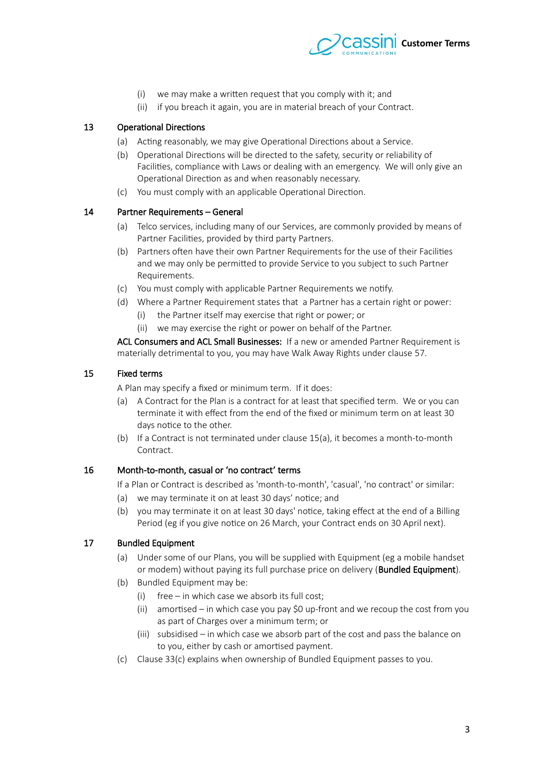

- (i) we may make a writen request that you comply with it; and
- (ii) if you breach it again, you are in material breach of your Contract.

# 13 Operational Directions

- <span id="page-2-4"></span>(a) Acting reasonably, we may give Operational Directions about a Service.
- (b) Operational Directions will be directed to the safety, security or reliability of Facilities, compliance with Laws or dealing with an emergency. We will only give an Operational Direction as and when reasonably necessary.
- (c) You must comply with an applicable Operational Direction.

## 14 Partner Requirements – General

- <span id="page-2-3"></span>(a) Telco services, including many of our Services, are commonly provided by means of Partner Facilities, provided by third party Partners.
- (b) Partners ofen have their own Partner Requirements for the use of their Facilities and we may only be permited to provide Service to you subject to such Partner Requirements.
- (c) You must comply with applicable Partner Requirements we notify.
- (d) Where a Partner Requirement states that a Partner has a certain right or power:
	- (i) the Partner itself may exercise that right or power; or
	- (ii) we may exercise the right or power on behalf of the Partner.

ACL Consumers and ACL Small Businesses: If a new or amended Partner Requirement is materially detrimental to you, you may have Walk Away Rights under clause [54.](#page-14-0)

## 15 Fixed terms

<span id="page-2-1"></span>A Plan may specify a fixed or minimum term. If it does:

- <span id="page-2-0"></span>(a) A Contract for the Plan is a contract for at least that specifed term. We or you can terminate it with efect from the end of the fxed or minimum term on at least 30 days notice to the other.
- (b) If a Contract is not terminated under clause [15](#page-2-1)[\(a\),](#page-2-0) it becomes a month-to-month Contract.

## 16 Month-to-month, casual or 'no contract' terms

If a Plan or Contract is described as 'month-to-month', 'casual', 'no contract' or similar:

- (a) we may terminate it on at least 30 days' notice; and
- (b) you may terminate it on at least 30 days' notice, taking efect at the end of a Billing Period (eg if you give notice on 26 March, your Contract ends on 30 April next).

## 17 Bundled Equipment

- <span id="page-2-2"></span>(a) Under some of our Plans, you will be supplied with Equipment (eg a mobile handset or modem) without paying its full purchase price on delivery (Bundled Equipment).
- (b) Bundled Equipment may be:
	- (i) free in which case we absorb its full cost;
	- (ii) amortised in which case you pay \$0 up-front and we recoup the cost from you as part of Charges over a minimum term; or
	- (iii) subsidised in which case we absorb part of the cost and pass the balance on to you, either by cash or amortised payment.
- (c) Clause [33](#page-6-0)[\(c\)](#page-7-0) explains when ownership of Bundled Equipment passes to you.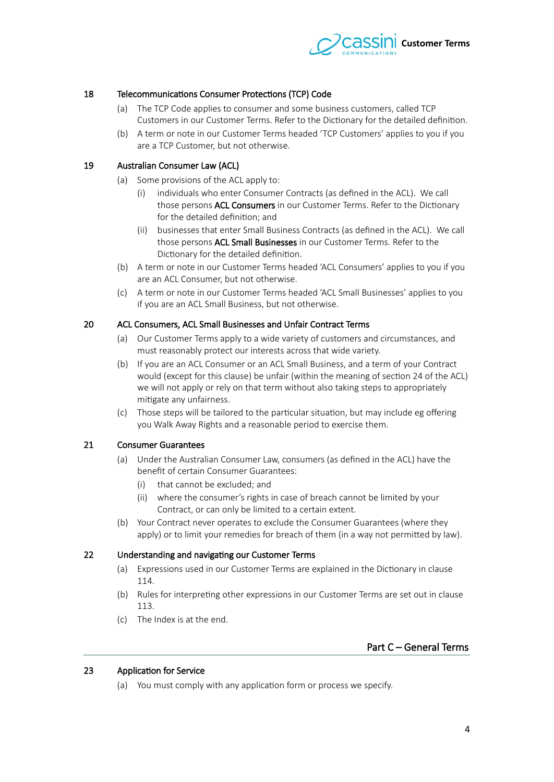

# 18 Telecommunications Consumer Protections (TCP) Code

- (a) The TCP Code applies to consumer and some business customers, called TCP Customers in our Customer Terms. Refer to the Dictionary for the detailed defnition.
- (b) A term or note in our Customer Terms headed 'TCP Customers' applies to you if you are a TCP Customer, but not otherwise.

## 19 Australian Consumer Law (ACL)

- (a) Some provisions of the ACL apply to:
	- (i) individuals who enter Consumer Contracts (as defned in the ACL). We call those persons ACL Consumers in our Customer Terms. Refer to the Dictionary for the detailed definition; and
	- (ii) businesses that enter Small Business Contracts (as defned in the ACL). We call those persons ACL Small Businesses in our Customer Terms. Refer to the Dictionary for the detailed defnition.
- (b) A term or note in our Customer Terms headed 'ACL Consumers' applies to you if you are an ACL Consumer, but not otherwise.
- (c) A term or note in our Customer Terms headed 'ACL Small Businesses' applies to you if you are an ACL Small Business, but not otherwise.

# 20 ACL Consumers, ACL Small Businesses and Unfair Contract Terms

- (a) Our Customer Terms apply to a wide variety of customers and circumstances, and must reasonably protect our interests across that wide variety.
- (b) If you are an ACL Consumer or an ACL Small Business, and a term of your Contract would (except for this clause) be unfair (within the meaning of section 24 of the ACL) we will not apply or rely on that term without also taking steps to appropriately mitigate any unfairness.
- (c) Those steps will be tailored to the particular situation, but may include eg ofering you Walk Away Rights and a reasonable period to exercise them.

## 21 Consumer Guarantees

- (a) Under the Australian Consumer Law, consumers (as defned in the ACL) have the beneft of certain Consumer Guarantees:
	- (i) that cannot be excluded; and
	- (ii) where the consumer's rights in case of breach cannot be limited by your Contract, or can only be limited to a certain extent.
- (b) Your Contract never operates to exclude the Consumer Guarantees (where they apply) or to limit your remedies for breach of them (in a way not permitted by law).

## 22 Understanding and navigating our Customer Terms

- (a) Expressions used in our Customer Terms are explained in the Dictionary in claus[e](#page-30-0)  $114.$
- (b) Rules for interpreting other expressions in our Customer Terms are set out in claus[e](#page-29-0) [113.](#page-29-0)
- (c) The Index is at the end.

# <span id="page-3-0"></span>Part C – General Terms

## 23 Application for Service

(a) You must comply with any application form or process we specify.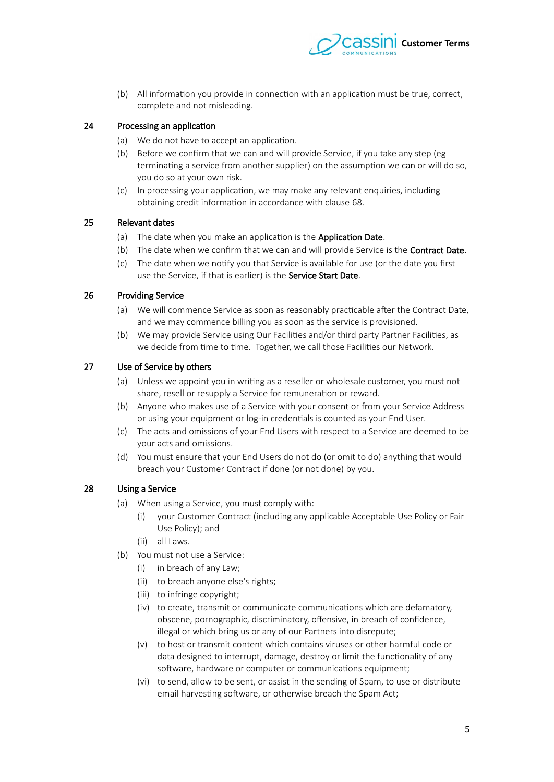

(b) All information you provide in connection with an application must be true, correct, complete and not misleading.

# 24 Processing an application

- (a) We do not have to accept an application.
- (b) Before we confrm that we can and will provide Service, if you take any step (eg terminating a service from another supplier) on the assumption we can or will do so, you do so at your own risk.
- (c) In processing your application, we may make any relevant enquiries, including obtaining credit information in accordance with clause [68.](#page-16-0)

#### 25 Relevant dates

- <span id="page-4-2"></span><span id="page-4-1"></span>(a) The date when you make an application is the **Application Date**.
- <span id="page-4-0"></span>(b) The date when we confirm that we can and will provide Service is the **Contract Date**.
- <span id="page-4-6"></span>(c) The date when we notify you that Service is available for use (or the date you frst use the Service, if that is earlier) is the Service Start Date.

#### 26 Providing Service

- <span id="page-4-5"></span>(a) We will commence Service as soon as reasonably practicable after the Contract Date, and we may commence billing you as soon as the service is provisioned.
- (b) We may provide Service using Our Facilities and/or third party Partner Facilities, as we decide from time to time. Together, we call those Facilities our Network.

## 27 Use of Service by others

- <span id="page-4-4"></span>(a) Unless we appoint you in writing as a reseller or wholesale customer, you must not share, resell or resupply a Service for remuneration or reward.
- <span id="page-4-3"></span>(b) Anyone who makes use of a Service with your consent or from your Service Address or using your equipment or log-in credentials is counted as your End User.
- (c) The acts and omissions of your End Users with respect to a Service are deemed to be your acts and omissions.
- (d) You must ensure that your End Users do not do (or omit to do) anything that would breach your Customer Contract if done (or not done) by you.

# 28 Using a Service

- (a) When using a Service, you must comply with:
	- (i) your Customer Contract (including any applicable Acceptable Use Policy or Fair Use Policy); and
	- (ii) all Laws.
- (b) You must not use a Service:
	- (i) in breach of any Law;
	- (ii) to breach anyone else's rights;
	- (iii) to infringe copyright;
	- (iv) to create, transmit or communicate communications which are defamatory, obscene, pornographic, discriminatory, offensive, in breach of confidence, illegal or which bring us or any of our Partners into disrepute;
	- (v) to host or transmit content which contains viruses or other harmful code or data designed to interrupt, damage, destroy or limit the functionality of any software, hardware or computer or communications equipment;
	- (vi) to send, allow to be sent, or assist in the sending of Spam, to use or distribute email harvesting software, or otherwise breach the Spam Act;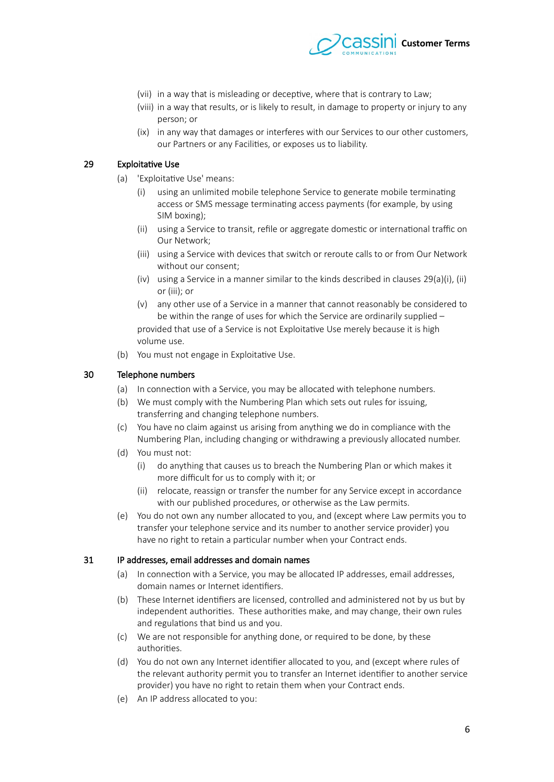

- (vii) in a way that is misleading or deceptive, where that is contrary to Law;
- (viii) in a way that results, or is likely to result, in damage to property or injury to any person; or
- (ix) in any way that damages or interferes with our Services to our other customers, our Partners or any Facilities, or exposes us to liability.

# 29 Exploitative Use

- <span id="page-5-4"></span><span id="page-5-3"></span><span id="page-5-2"></span><span id="page-5-1"></span><span id="page-5-0"></span>(a) 'Exploitative Use' means:
	- (i) using an unlimited mobile telephone Service to generate mobile terminating access or SMS message terminating access payments (for example, by using SIM boxing);
	- (ii) using a Service to transit, refile or aggregate domestic or international traffic on Our Network;
	- (iii) using a Service with devices that switch or reroute calls to or from Our Network without our consent;
	- (iv) using a Service in a manner similar to the kinds described in clauses  $29(a)(i)$  $29(a)(i)$  $29(a)(i)$ , [\(ii\)](#page-5-1) or [\(iii\);](#page-5-0) or
	- (v) any other use of a Service in a manner that cannot reasonably be considered to be within the range of uses for which the Service are ordinarily supplied – provided that use of a Service is not Exploitative Use merely because it is high volume use.
- (b) You must not engage in Exploitative Use.

## 30 Telephone numbers

- (a) In connection with a Service, you may be allocated with telephone numbers.
- (b) We must comply with the Numbering Plan which sets out rules for issuing, transferring and changing telephone numbers.
- (c) You have no claim against us arising from anything we do in compliance with the Numbering Plan, including changing or withdrawing a previously allocated number.
- (d) You must not:
	- (i) do anything that causes us to breach the Numbering Plan or which makes it more difficult for us to comply with it; or
	- (ii) relocate, reassign or transfer the number for any Service except in accordance with our published procedures, or otherwise as the Law permits.
- (e) You do not own any number allocated to you, and (except where Law permits you to transfer your telephone service and its number to another service provider) you have no right to retain a particular number when your Contract ends.

## 31 IP addresses, email addresses and domain names

- (a) In connection with a Service, you may be allocated IP addresses, email addresses, domain names or Internet identifers.
- (b) These Internet identifers are licensed, controlled and administered not by us but by independent authorities. These authorities make, and may change, their own rules and regulations that bind us and you.
- (c) We are not responsible for anything done, or required to be done, by these authorities.
- (d) You do not own any Internet identifer allocated to you, and (except where rules of the relevant authority permit you to transfer an Internet identifer to another service provider) you have no right to retain them when your Contract ends.
- (e) An IP address allocated to you: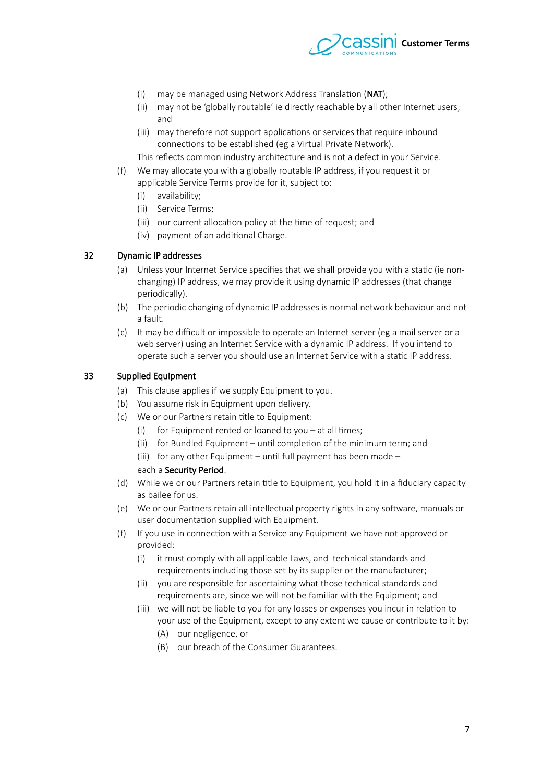

- (i) may be managed using Network Address Translation (NAT);
- (ii) may not be 'globally routable' ie directly reachable by all other Internet users; and
- (iii) may therefore not support applications or services that require inbound connections to be established (eg a Virtual Private Network).

This reflects common industry architecture and is not a defect in your Service.

- (f) We may allocate you with a globally routable IP address, if you request it or applicable Service Terms provide for it, subject to:
	- (i) availability;
	- (ii) Service Terms;
	- (iii) our current allocation policy at the time of request; and
	- (iv) payment of an additional Charge.

## 32 Dynamic IP addresses

- (a) Unless your Internet Service specifes that we shall provide you with a static (ie nonchanging) IP address, we may provide it using dynamic IP addresses (that change periodically).
- (b) The periodic changing of dynamic IP addresses is normal network behaviour and not a fault.
- (c) It may be difficult or impossible to operate an Internet server (eg a mail server or a web server) using an Internet Service with a dynamic IP address. If you intend to operate such a server you should use an Internet Service with a static IP address.

#### 33 Supplied Equipment

- <span id="page-6-0"></span>(a) This clause applies if we supply Equipment to you.
- (b) You assume risk in Equipment upon delivery.
- <span id="page-6-1"></span>(c) We or our Partners retain title to Equipment:
	- (i) for Equipment rented or loaned to you  $-$  at all times;
	- (ii) for Bundled Equipment until completion of the minimum term; and
	- (iii) for any other Equipment until full payment has been made –

## each a Security Period.

- (d) While we or our Partners retain title to Equipment, you hold it in a fduciary capacity as bailee for us.
- (e) We or our Partners retain all intellectual property rights in any sofware, manuals or user documentation supplied with Equipment.
- (f) If you use in connection with a Service any Equipment we have not approved or provided:
	- (i) it must comply with all applicable Laws, and technical standards and requirements including those set by its supplier or the manufacturer;
	- (ii) you are responsible for ascertaining what those technical standards and requirements are, since we will not be familiar with the Equipment; and
	- (iii) we will not be liable to you for any losses or expenses you incur in relation to your use of the Equipment, except to any extent we cause or contribute to it by:
		- (A) our negligence, or
		- (B) our breach of the Consumer Guarantees.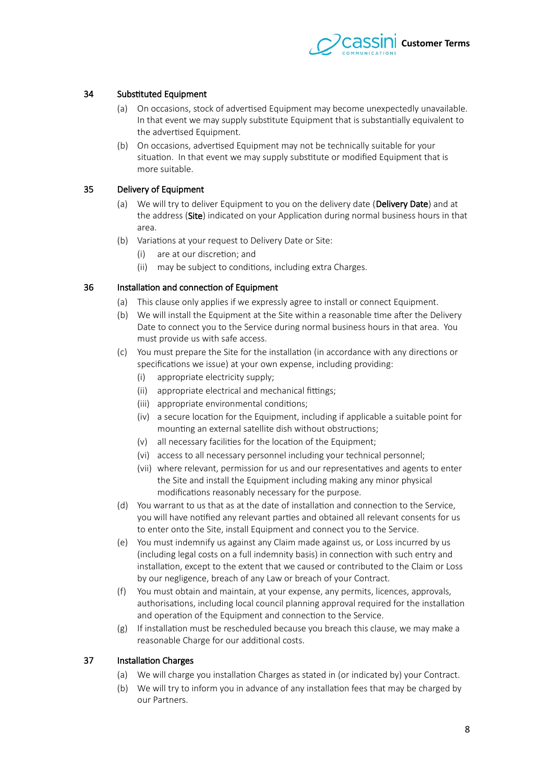

# 34 Substituted Equipment

- (a) On occasions, stock of advertised Equipment may become unexpectedly unavailable. In that event we may supply substitute Equipment that is substantially equivalent to the advertised Equipment.
- (b) On occasions, advertised Equipment may not be technically suitable for your situation. In that event we may supply substitute or modifed Equipment that is more suitable.

# 35 Delivery of Equipment

- <span id="page-7-1"></span>(a) We will try to deliver Equipment to you on the delivery date (Delivery Date) and at the address (Site) indicated on your Application during normal business hours in that area.
- (b) Variations at your request to Delivery Date or Site:
	- (i) are at our discretion; and
	- (ii) may be subject to conditions, including extra Charges.

# 36 Installation and connection of Equipment

- (a) This clause only applies if we expressly agree to install or connect Equipment.
- (b) We will install the Equipment at the Site within a reasonable time afer the Delivery Date to connect you to the Service during normal business hours in that area. You must provide us with safe access.
- <span id="page-7-0"></span>(c) You must prepare the Site for the installation (in accordance with any directions or specifcations we issue) at your own expense, including providing:
	- (i) appropriate electricity supply;
	- (ii) appropriate electrical and mechanical fittings;
	- (iii) appropriate environmental conditions;
	- (iv) a secure location for the Equipment, including if applicable a suitable point for mounting an external satellite dish without obstructions;
	- (v) all necessary facilities for the location of the Equipment;
	- (vi) access to all necessary personnel including your technical personnel;
	- (vii) where relevant, permission for us and our representatives and agents to enter the Site and install the Equipment including making any minor physical modifcations reasonably necessary for the purpose.
- (d) You warrant to us that as at the date of installation and connection to the Service, you will have notifed any relevant parties and obtained all relevant consents for us to enter onto the Site, install Equipment and connect you to the Service.
- (e) You must indemnify us against any Claim made against us, or Loss incurred by us (including legal costs on a full indemnity basis) in connection with such entry and installation, except to the extent that we caused or contributed to the Claim or Loss by our negligence, breach of any Law or breach of your Contract.
- (f) You must obtain and maintain, at your expense, any permits, licences, approvals, authorisations, including local council planning approval required for the installation and operation of the Equipment and connection to the Service.
- (g) If installation must be rescheduled because you breach this clause, we may make a reasonable Charge for our additional costs.

## 37 Installation Charges

- (a) We will charge you installation Charges as stated in (or indicated by) your Contract.
- (b) We will try to inform you in advance of any installation fees that may be charged by our Partners.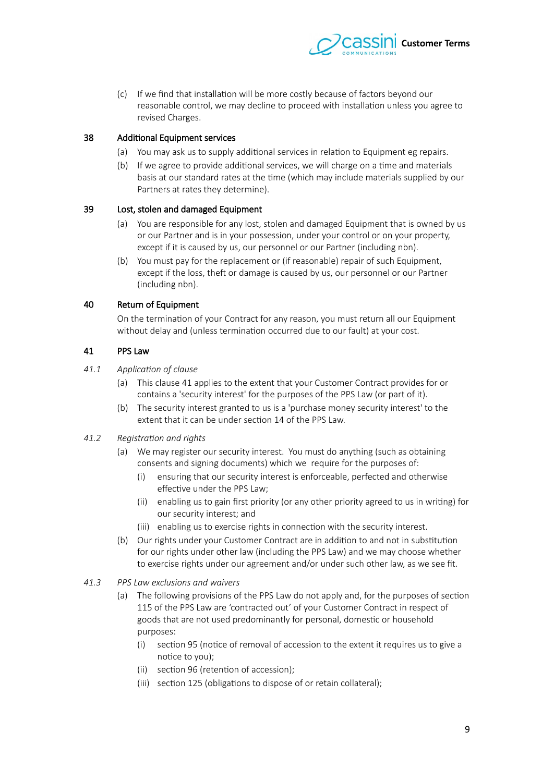

(c) If we fnd that installation will be more costly because of factors beyond our reasonable control, we may decline to proceed with installation unless you agree to revised Charges.

# 38 Additional Equipment services

- (a) You may ask us to supply additional services in relation to Equipment eg repairs.
- (b) If we agree to provide additional services, we will charge on a time and materials basis at our standard rates at the time (which may include materials supplied by our Partners at rates they determine).

## 37 Lost, stolen and damaged Equipment

- (a) You are responsible for any lost, stolen and damaged Equipment that is owned by us or our Partner and is in your possession, under your control or on your property, except if it is caused by us, our personnel or our Partner (including nbn).
- (b) You must pay for the replacement or (if reasonable) repair of such Equipment, except if the loss, theft or damage is caused by us, our personnel or our Partner (including nbn).

# 0 Return of Equipment

<span id="page-8-0"></span>On the termination of your Contract for any reason, you must return all our Equipment without delay and (unless termination occurred due to our fault) at your cost.

# 41 PPS Law

## 41.1 **Application of clause**

- (a) This clause [1](#page-8-0) applies to the extent that your Customer Contract provides for or contains a 'security interest' for the purposes of the PPS Law (or part of it).
- (b) The security interest granted to us is a 'purchase money security interest' to the extent that it can be under section 14 of the PPS Law.

## 41.2 **Registration and rights**

- (a) We may register our security interest. You must do anything (such as obtaining consents and signing documents) which we require for the purposes of:
	- (i) ensuring that our security interest is enforceable, perfected and otherwise efective under the PPS Law;
	- (ii) enabling us to gain frst priority (or any other priority agreed to us in writing) for our security interest; and
	- (iii) enabling us to exercise rights in connection with the security interest.
- (b) Our rights under your Customer Contract are in addition to and not in substitution for our rights under other law (including the PPS Law) and we may choose whether to exercise rights under our agreement and/or under such other law, as we see ft.
- 41.3 PPS Law exclusions and waivers
	- (a) The following provisions of the PPS Law do not apply and, for the purposes of section 115 of the PPS Law are 'contracted out' of your Customer Contract in respect of goods that are not used predominantly for personal, domestic or household purposes:
		- (i) section 75 (notice of removal of accession to the extent it requires us to give a notice to you);
		- (ii) section 76 (retention of accession);
		- (iii) section 125 (obligations to dispose of or retain collateral);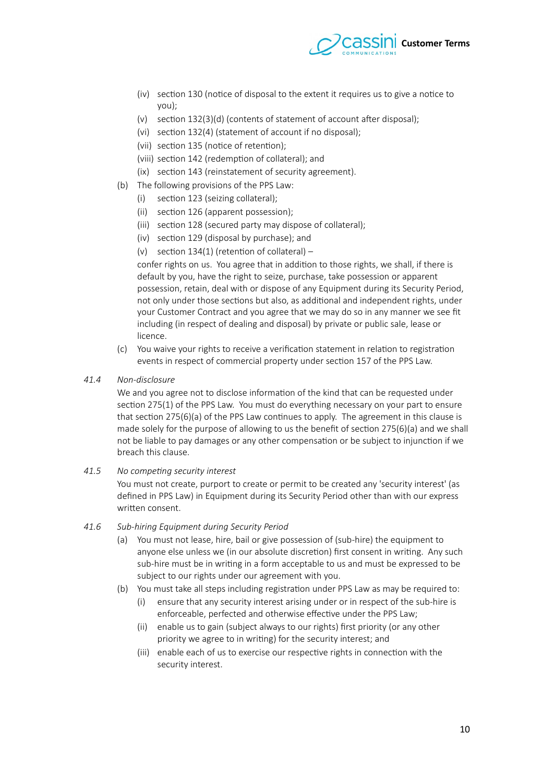

- (iv) section 130 (notice of disposal to the extent it requires us to give a notice to you);
- (v) section 132(3)(d) (contents of statement of account after disposal):
- (vi) section 132(4) (statement of account if no disposal):
- (vii) section 135 (notice of retention);
- (viii) section 142 (redemption of collateral); and
- (ix) section 143 (reinstatement of security agreement).
- (b) The following provisions of the PPS Law:
	- (i) section 123 (seizing collateral);
	- (ii) section 126 (apparent possession);
	- (iii) section 128 (secured party may dispose of collateral);
	- (iv) section 129 (disposal by purchase); and
	- (v) section 134(1) (retention of collateral) –

confer rights on us. You agree that in addition to those rights, we shall, if there is default by you, have the right to seize, purchase, take possession or apparent possession, retain, deal with or dispose of any Equipment during its Security Period, not only under those sections but also, as additional and independent rights, under your Customer Contract and you agree that we may do so in any manner we see ft including (in respect of dealing and disposal) by private or public sale, lease or licence.

- (c) You waive your rights to receive a verifcation statement in relation to registration events in respect of commercial property under section 157 of the PPS Law.
- 41.4 **Non-disclosure**

We and you agree not to disclose information of the kind that can be requested under section 275(1) of the PPS Law. You must do everything necessary on your part to ensure that section 275(6)(a) of the PPS Law continues to apply. The agreement in this clause is made solely for the purpose of allowing to us the benefit of section  $275(6)(a)$  and we shall not be liable to pay damages or any other compensation or be subject to injunction if we breach this clause.

41.5 No competing security interest

You must not create, purport to create or permit to be created any 'security interest' (as defned in PPS Law) in Equipment during its Security Period other than with our express writen consent.

#### 41.6 Sub-hiring Equipment during Security Period

- (a) You must not lease, hire, bail or give possession of (sub-hire) the equipment to anyone else unless we (in our absolute discretion) frst consent in writing. Any such sub-hire must be in writing in a form acceptable to us and must be expressed to be subject to our rights under our agreement with you.
- (b) You must take all steps including registration under PPS Law as may be required to:
	- (i) ensure that any security interest arising under or in respect of the sub-hire is enforceable, perfected and otherwise efective under the PPS Law;
	- (ii) enable us to gain (subject always to our rights) first priority (or any other priority we agree to in writing) for the security interest; and
	- (iii) enable each of us to exercise our respective rights in connection with the security interest.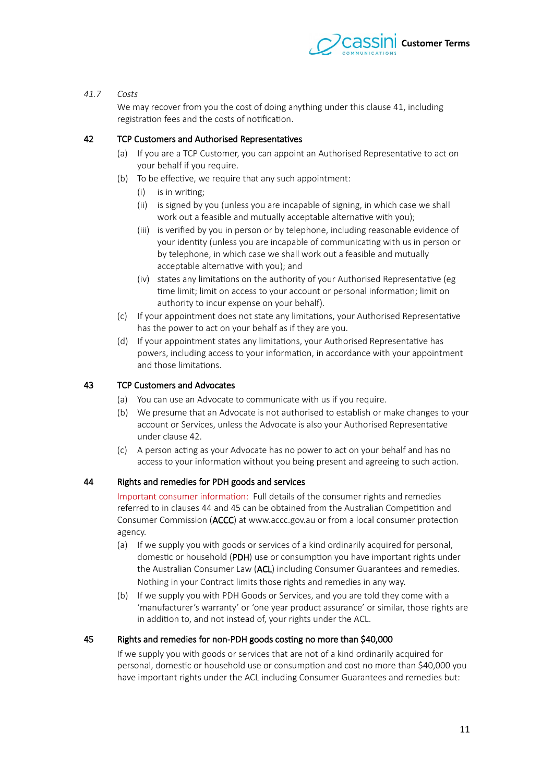

# *41.7 Ciete*

We may recover from you the cost of doing anything under this clause 41, including registration fees and the costs of notifcation.

# 2 TCP Customers and Authorised Representatives

- <span id="page-10-2"></span>(a) If you are a TCP Customer, you can appoint an Authorised Representative to act on your behalf if you require.
- (b) To be efective, we require that any such appointment:
	- (i) is in writing;
	- (ii) is signed by you (unless you are incapable of signing, in which case we shall work out a feasible and mutually acceptable alternative with you);
	- (iii) is verifed by you in person or by telephone, including reasonable evidence of your identity (unless you are incapable of communicating with us in person or by telephone, in which case we shall work out a feasible and mutually acceptable alternative with you); and
	- (iv) states any limitations on the authority of your Authorised Representative (eg time limit; limit on access to your account or personal information; limit on authority to incur expense on your behalf).
- (c) If your appointment does not state any limitations, your Authorised Representative has the power to act on your behalf as if they are you.
- (d) If your appointment states any limitations, your Authorised Representative has powers, including access to your information, in accordance with your appointment and those limitations.

# 3 TCP Customers and Advocates

- (a) You can use an Advocate to communicate with us if you require.
- (b) We presume that an Advocate is not authorised to establish or make changes to your account or Services, unless the Advocate is also your Authorised Representative under clause 42.
- (c) A person acting as your Advocate has no power to act on your behalf and has no access to your information without you being present and agreeing to such action.

## Rights and remedies for PDH goods and services

<span id="page-10-0"></span>Important consumer information: Full details of the consumer rights and remedies referredto in clauses 44 and 45 can be obtained from the Australian Competition and Consumer Commission (ACCC) at www.accc.gov.au or from a local consumer protection agency.

- (a) If we supply you with goods or services of a kind ordinarily acquired for personal, domestic or household (PDH) use or consumption you have important rights under the Australian Consumer Law (ACL) including Consumer Guarantees and remedies. Nothing in your Contract limits those rights and remedies in any way.
- (b) If we supply you with PDH Goods or Services, and you are told they come with a 'manufacturer's warranty' or 'one year product assurance' or similar, those rights are in addition to, and not instead of, your rights under the ACL.

# 45 Rights and remedies for non-PDH goods costing no more than \$40,000

<span id="page-10-1"></span>If we supply you with goods or services that are not of a kind ordinarily acquired for personal, domestic or household use or consumption and cost no more than \$40,000 you have important rights under the ACL including Consumer Guarantees and remedies but: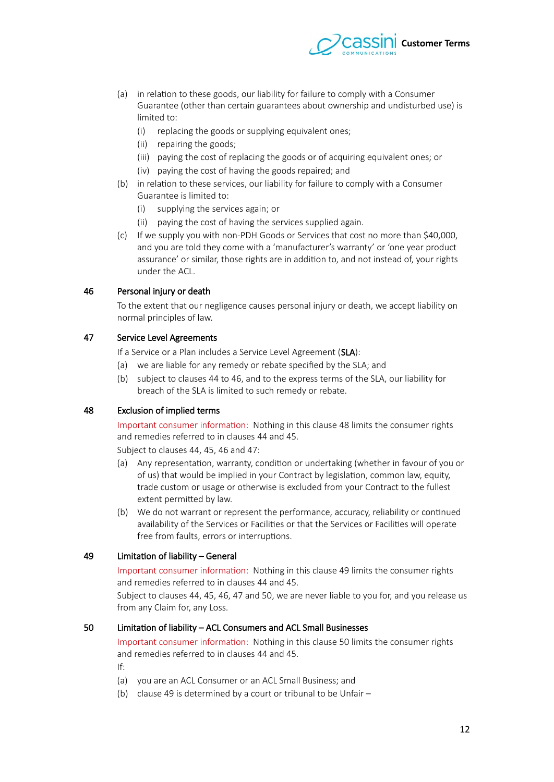

- (a) in relation to these goods, our liability for failure to comply with a Consumer Guarantee (other than certain guarantees about ownership and undisturbed use) is limited to:
	- (i) replacing the goods or supplying equivalent ones;
	- (ii) repairing the goods;
	- (iii) paying the cost of replacing the goods or of acquiring equivalent ones; or
	- (iv) paying the cost of having the goods repaired; and
- (b) in relation to these services, our liability for failure to comply with a Consumer Guarantee is limited to:
	- (i) supplying the services again; or
	- (ii) paying the cost of having the services supplied again.
- (c) If we supply you with non-PDH Goods or Services that cost no more than \$40,000, and you are told they come with a 'manufacturer's warranty' or 'one year product assurance' or similar, those rights are in addition to, and not instead of, your rights under the ACL.

#### 6 Personal injury or death

<span id="page-11-3"></span>To the extent that our negligence causes personal injury or death, we accept liability on normal principles of law.

## 47 Service Level Agreements

<span id="page-11-2"></span>If a Service or a Plan includes a Service Level Agreement (SLA):

- (a) we are liable for any remedy or rebate specifed by the SLA; and
- (b)subject to clauses 44 to 46, and to the express terms of the SLA, our liability for breach of the SLA is limited to such remedy or rebate.

## 8 Exclusion of implied terms

<span id="page-11-4"></span>Important consumer information: Nothing in this clause [8](#page-11-4) limits the consumer rights andremedies referred to in clauses 44 and 45.

Subject to clauses 44, 45, 46 and 47:

- (a) Any representation, warranty, condition or undertaking (whether in favour of you or of us) that would be implied in your Contract by legislation, common law, equity, trade custom or usage or otherwise is excluded from your Contract to the fullest extent permited by law.
- (b) We do not warrant or represent the performance, accuracy, reliability or continued availability of the Services or Facilities or that the Services or Facilities will operate free from faults, errors or interruptions.

#### 49 Limitation of liability – General

<span id="page-11-0"></span>Important consumer information: Nothing in this clause 49 limits the consumer rights andremedies referred to in clauses 44 and 45.

Subject to clauses 44, 45, 46, 47 and [50,](#page-11-1) we are never liable to you for, and you release us from any Claim for, any Loss.

#### 50 Limitation of liability – ACL Consumers and ACL Small Businesses

<span id="page-11-1"></span>Important consumer information: Nothing in this clause [50](#page-11-1) limits the consumer rights andremedies referred to in clauses 44 and 45.

If:

- (a) you are an ACL Consumer or an ACL Small Business; and
- (b) clause 49 is determined by a court or tribunal to be Unfair  $-$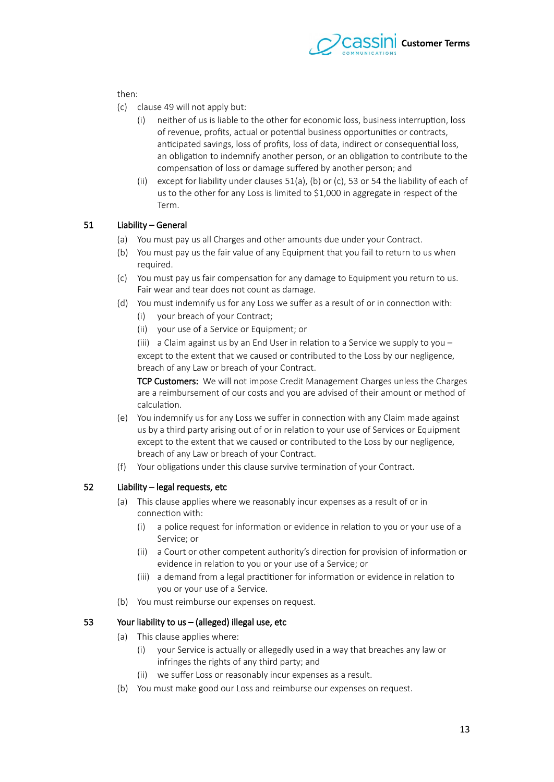

then:

- (c) clause 49 will not apply but:
	- (i) neither of us is liable to the other for economic loss, business interruption, loss of revenue, profts, actual or potential business opportunities or contracts, anticipated savings, loss of profits, loss of data, indirect or consequential loss, an obligation to indemnify another person, or an obligation to contribute to the compensation of loss or damage sufered by another person; and
	- (ii) except for liability under clauses  $51(a)$ , [\(b\)](#page-12-2) or [\(c\),](#page-12-1) [53](#page-12-0) or 54 the liability of each of us to the other for any Loss is limited to \$1,000 in aggregate in respect of the Term.

#### 51 Liability – General

- <span id="page-12-4"></span><span id="page-12-3"></span>(a) You must pay us all Charges and other amounts due under your Contract.
- <span id="page-12-2"></span>(b) You must pay us the fair value of any Equipment that you fail to return to us when required.
- <span id="page-12-1"></span>(c) You must pay us fair compensation for any damage to Equipment you return to us. Fair wear and tear does not count as damage.
- (d) You must indemnify us for any Loss we sufer as a result of or in connection with:
	- (i) your breach of your Contract;
	- (ii) your use of a Service or Equipment; or

(iii) a Claim against us by an End User in relation to a Service we supply to you – except to the extent that we caused or contributed to the Loss by our negligence, breach of any Law or breach of your Contract.

TCP Customers: We will not impose Credit Management Charges unless the Charges are a reimbursement of our costs and you are advised of their amount or method of calculation.

- (e) You indemnify us for any Loss we sufer in connection with any Claim made against us by a third party arising out of or in relation to your use of Services or Equipment except to the extent that we caused or contributed to the Loss by our negligence, breach of any Law or breach of your Contract.
- (f) Your obligations under this clause survive termination of your Contract.

## 52 Liability – legal requests, etc

- (a) This clause applies where we reasonably incur expenses as a result of or in connection with:
	- (i) a police request for information or evidence in relation to you or your use of a Service; or
	- (ii) a Court or other competent authority's direction for provision of information or evidence in relation to you or your use of a Service; or
	- (iii) a demand from a legal practitioner for information or evidence in relation to you or your use of a Service.
- (b) You must reimburse our expenses on request.

## 53 Your liability to us – (alleged) illegal use, etc

- <span id="page-12-0"></span>(a) This clause applies where:
	- (i) your Service is actually or allegedly used in a way that breaches any law or infringes the rights of any third party; and
	- (ii) we suffer Loss or reasonably incur expenses as a result.
- (b) You must make good our Loss and reimburse our expenses on request.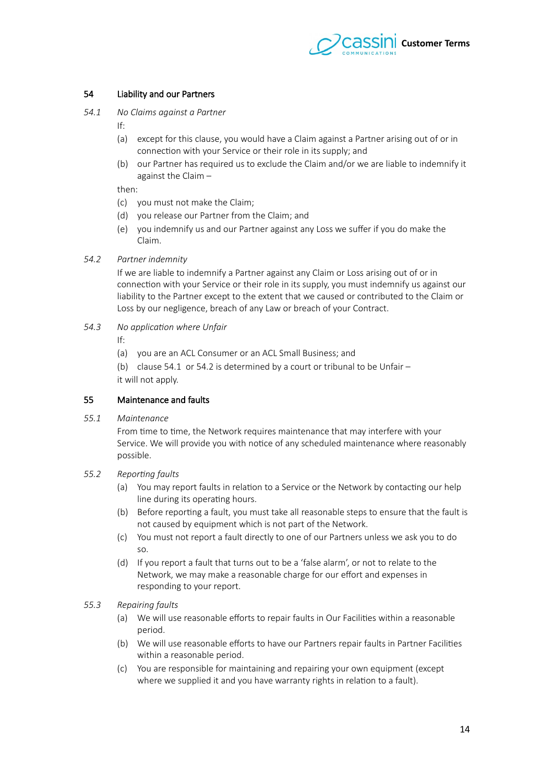

# 54 Liability and our Partners

54.1 No Claims against a Partner

<span id="page-13-2"></span><span id="page-13-0"></span>If:

- (a) except for this clause, you would have a Claim against a Partner arising out of or in connection with your Service or their role in its supply; and
- (b) our Partner has required us to exclude the Claim and/or we are liable to indemnify it against the Claim –

then:

- (c) you must not make the Claim;
- (d) you release our Partner from the Claim; and
- (e) you indemnify us and our Partner against any Loss we sufer if you do make the Claim.
- 54.2 Partner indemnity

<span id="page-13-1"></span>If we are liable to indemnify a Partner against any Claim or Loss arising out of or in connection with your Service or their role in its supply, you must indemnify us against our liability to the Partner except to the extent that we caused or contributed to the Claim or Loss by our negligence, breach of any Law or breach of your Contract.

54.3 No application where Unfair

If:

(a) you are an ACL Consumer or an ACL Small Business; and

(b) clause 54.1 or 54.2 is determined by a court or tribunal to be Unfair  $$ it will not apply.

## 55 Maintenance and faults

55.1 **Maintenance** 

From time to time, the Network requires maintenance that may interfere with your Service. We will provide you with notice of any scheduled maintenance where reasonably possible.

# 55.2 Reporting faults

- (a) You may report faults in relation to a Service or the Network by contacting our help line during its operating hours.
- (b) Before reporting a fault, you must take all reasonable steps to ensure that the fault is not caused by equipment which is not part of the Network.
- (c) You must not report a fault directly to one of our Partners unless we ask you to do so.
- (d) If you report a fault that turns out to be a 'false alarm', or not to relate to the Network, we may make a reasonable charge for our effort and expenses in responding to your report.

## 55.3 Repairing faults

- (a) We will use reasonable eforts to repair faults in Our Facilities within a reasonable period.
- (b) We will use reasonable eforts to have our Partners repair faults in Partner Facilities within a reasonable period.
- (c) You are responsible for maintaining and repairing your own equipment (except where we supplied it and you have warranty rights in relation to a fault).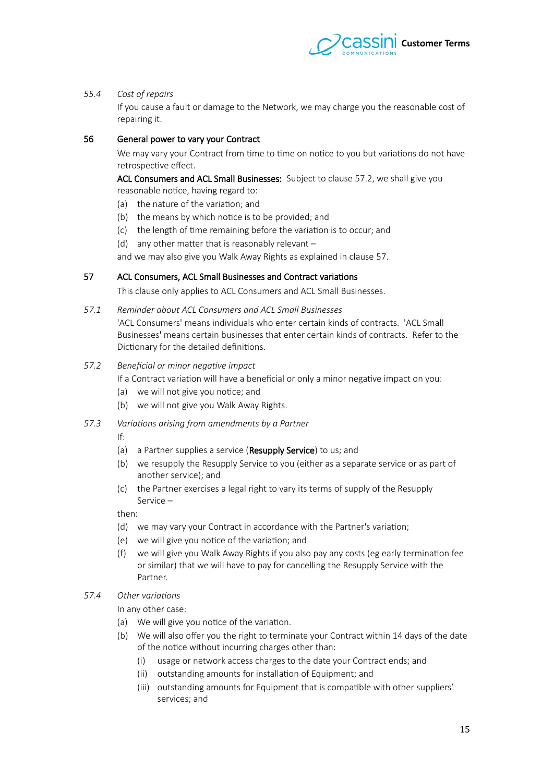

#### 55.4 Cost of repairs

If you cause a fault or damage to the Network, we may charge you the reasonable cost of repairing it.

## 56 General power to vary your Contract

<span id="page-14-3"></span>We may vary your Contract from time to time on notice to you but variations do not have retrospective effect.

ACL Consumers and ACL Small Businesses: Subject to clause 57.2, we shall give you reasonable notice, having regard to:

- (a) the nature of the variation; and
- (b) the means by which notice is to be provided; and
- (c) the length of time remaining before the variation is to occur; and
- (d) any other matter that is reasonably relevant  $-$

and we may also give you Walk Away Rights as explained in clause 57.

#### 57 ACL Consumers, ACL Small Businesses and Contract variations

<span id="page-14-0"></span>This clause only applies to ACL Consumers and ACL Small Businesses.

57.1 Reminder about ACL Consumers and ACL Small Businesses

'ACL Consumers' means individuals who enter certain kinds of contracts. 'ACL Small Businesses' means certain businesses that enter certain kinds of contracts. Refer to the Dictionary for the detailed defnitions.

57.2 Beneficial or minor negative impact

<span id="page-14-1"></span>If a Contract variation will have a beneficial or only a minor negative impact on you:

- (a) we will not give you notice; and
- (b) we will not give you Walk Away Rights.
- 57.3 Variations arising from amendments by a Partner

<span id="page-14-2"></span>If:

- (a) a Partner supplies a service (Resupply Service) to us; and
- (b) we resupply the Resupply Service to you (either as a separate service or as part of another service); and
- (c) the Partner exercises a legal right to vary its terms of supply of the Resupply Service –

then:

- (d) we may vary your Contract in accordance with the Partner's variation;
- (e) we will give you notice of the variation; and
- (f) we will give you Walk Away Rights if you also pay any costs (eg early termination fee or similar) that we will have to pay for cancelling the Resupply Service with the Partner.
- 57.4 Other variations

In any other case:

- (a) We will give you notice of the variation.
- (b) We will also offer you the right to terminate your Contract within 14 days of the date of the notice without incurring charges other than:
	- (i) usage or network access charges to the date your Contract ends; and
	- (ii) outstanding amounts for installation of Equipment; and
	- (iii) outstanding amounts for Equipment that is compatible with other suppliers' services; and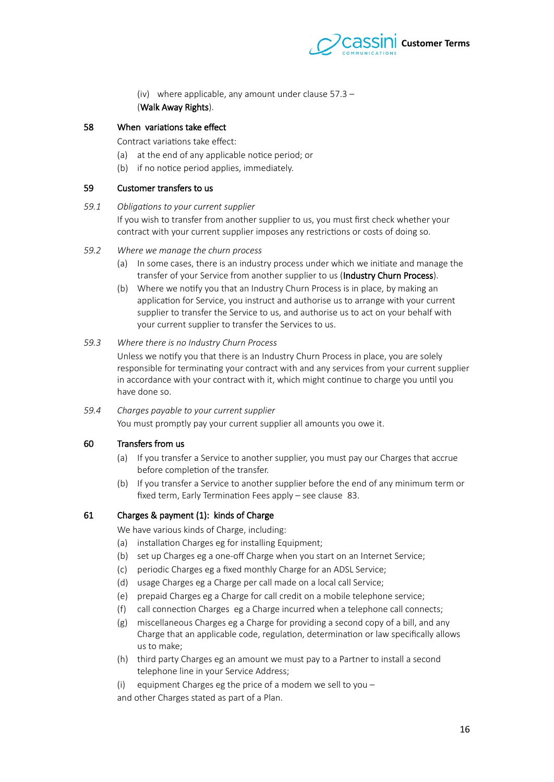

(iv) where applicable, any amount under clause  $57.3 -$ (Walk Away Rights).

# 58 When variations take efect

<span id="page-15-0"></span>Contract variations take effect:

- (a) at the end of any applicable notice period; or
- (b) if no notice period applies, immediately.

### 59 Customer transfers to us

#### 59.1 Obligations to your current supplier

If you wish to transfer from another supplier to us, you must frst check whether your contract with your current supplier imposes any restrictions or costs of doing so.

#### 59.2 Where we manage the churn process

- (a) In some cases, there is an industry process under which we initiate and manage the transfer of your Service from another supplier to us (Industry Churn Process).
- (b) Where we notify you that an Industry Churn Process is in place, by making an application for Service, you instruct and authorise us to arrange with your current supplier to transfer the Service to us, and authorise us to act on your behalf with your current supplier to transfer the Services to us.

# 59.3 Where there is no Industry Churn Process

Unless we notify you that there is an Industry Churn Process in place, you are solely responsible for terminating your contract with and any services from your current supplier in accordance with your contract with it, which might continue to charge you until you have done so.

#### 59.4 Charges payable to your current supplier

You must promptly pay your current supplier all amounts you owe it.

## 60 Transfers from us

- (a) If you transfer a Service to another supplier, you must pay our Charges that accrue before completion of the transfer.
- (b) If you transfer a Service to another supplier before the end of any minimum term or fxed term, Early Termination Fees apply – see clause [83.](#page-21-0)

## 61 Charges & payment (1): kinds of Charge

We have various kinds of Charge, including:

- (a) installation Charges eg for installing Equipment;
- (b) set up Charges eg a one-of Charge when you start on an Internet Service;
- (c) periodic Charges eg a fxed monthly Charge for an ADSL Service;
- (d) usage Charges eg a Charge per call made on a local call Service;
- (e) prepaid Charges eg a Charge for call credit on a mobile telephone service;
- (f) call connection Charges eg a Charge incurred when a telephone call connects;
- (g) miscellaneous Charges eg a Charge for providing a second copy of a bill, and any Charge that an applicable code, regulation, determination or law specifcally allows us to make;
- (h) third party Charges eg an amount we must pay to a Partner to install a second telephone line in your Service Address;
- (i) equipment Charges eg the price of a modem we sell to you –

and other Charges stated as part of a Plan.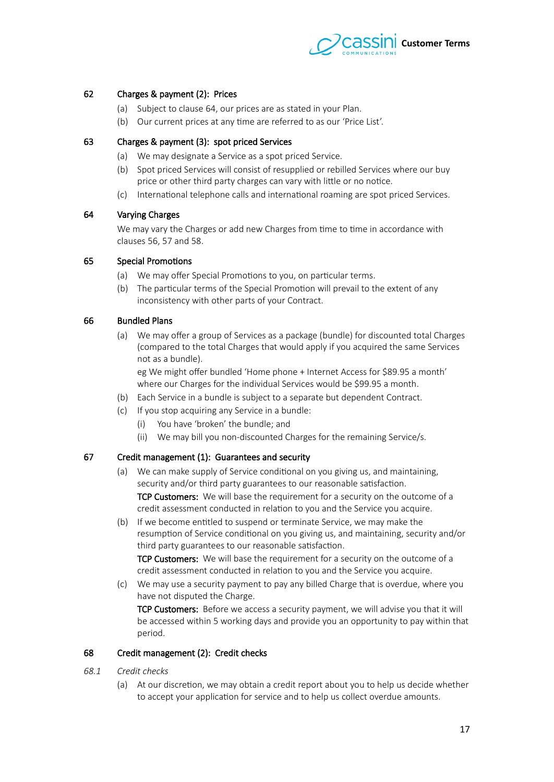

# 62 Charges & payment (2): Prices

- <span id="page-16-2"></span>(a) Subject to clause 64, our prices are as stated in your Plan.
- (b) Our current prices at any time are referred to as our 'Price List'.

## 63 Charges & payment (3): spot priced Services

- (a) We may designate a Service as a spot priced Service.
- (b) Spot priced Services will consist of resupplied or rebilled Services where our buy price or other third party charges can vary with litle or no notice.
- (c) International telephone calls and international roaming are spot priced Services.

## 64 Varying Charges

<span id="page-16-1"></span>We may vary the Charges or add new Charges from time to time in accordance with clauses [56,](#page-14-3) 57 and [58.](#page-15-0)

## 65 Special Promotions

- (a) We may offer Special Promotions to you, on particular terms.
- (b) The particular terms of the Special Promotion will prevail to the extent of any inconsistency with other parts of your Contract.

# 66 Bundled Plans

(a) We may offer a group of Services as a package (bundle) for discounted total Charges (compared to the total Charges that would apply if you acquired the same Services not as a bundle).

eg We might offer bundled 'Home phone + Internet Access for \$89.95 a month' where our Charges for the individual Services would be \$99.95 a month.

- (b) Each Service in a bundle is subject to a separate but dependent Contract.
- (c) If you stop acquiring any Service in a bundle:
	- (i) You have 'broken' the bundle; and
	- (ii) We may bill you non-discounted Charges for the remaining Service/s.

# 67 Credit management (1): Guarantees and security

- (a) We can make supply of Service conditional on you giving us, and maintaining, security and/or third party guarantees to our reasonable satisfaction. TCP Customers: We will base the requirement for a security on the outcome of a credit assessment conducted in relation to you and the Service you acquire.
- (b) If we become entitled to suspend or terminate Service, we may make the resumption of Service conditional on you giving us, and maintaining, security and/or third party guarantees to our reasonable satisfaction. TCP Customers: We will base the requirement for a security on the outcome of a

credit assessment conducted in relation to you and the Service you acquire.

(c) We may use a security payment to pay any billed Charge that is overdue, where you have not disputed the Charge.

TCP Customers: Before we access a security payment, we will advise you that it will be accessed within 5 working days and provide you an opportunity to pay within that period.

#### <span id="page-16-0"></span>68 Credit management (2): Credit checks

- $68.1$  *Credit checks* 
	- (a) At our discretion, we may obtain a credit report about you to help us decide whether to accept your application for service and to help us collect overdue amounts.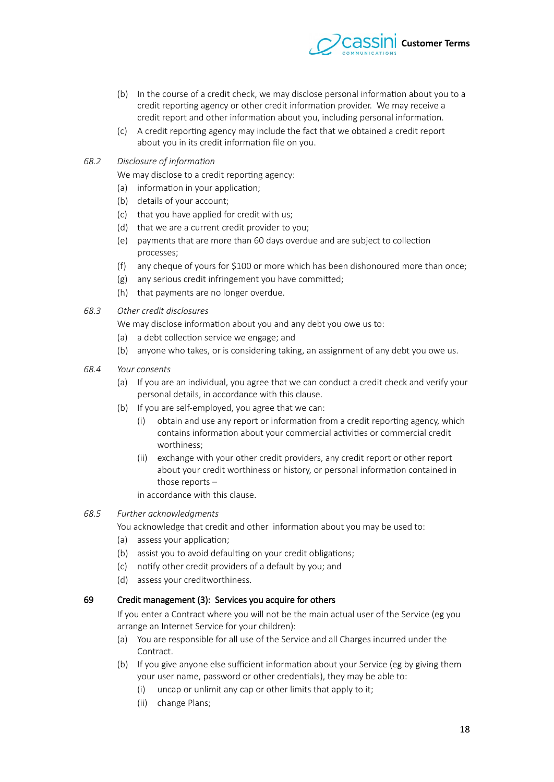

- (b) In the course of a credit check, we may disclose personal information about you to a credit reporting agency or other credit information provider. We may receive a credit report and other information about you, including personal information.
- (c) A credit reporting agency may include the fact that we obtained a credit report about you in its credit information fle on you.
- *68.2 Diecliesrt if infirmatin*

We may disclose to a credit reporting agency:

- (a) information in your application;
- (b) details of your account;
- (c) that you have applied for credit with us;
- (d) that we are a current credit provider to you;
- (e) payments that are more than 60 days overdue and are subject to collection processes;
- (f) any cheque of yours for \$100 or more which has been dishonoured more than once;
- (g) any serious credit infringement you have commited;
- (h) that payments are no longer overdue.
- 68.3 Other credit disclosures
	- We may disclose information about you and any debt you owe us to:
	- (a) a debt collection service we engage; and
	- (b) anyone who takes, or is considering taking, an assignment of any debt you owe us.
- 68.4 Your consents
	- (a) If you are an individual, you agree that we can conduct a credit check and verify your personal details, in accordance with this clause.
	- (b) If you are self-employed, you agree that we can:
		- (i) obtain and use any report or information from a credit reporting agency, which contains information about your commercial activities or commercial credit worthiness;
		- (ii) exchange with your other credit providers, any credit report or other report about your credit worthiness or history, or personal information contained in those reports –

in accordance with this clause.

#### 68.5 Further acknowledgments

You acknowledge that credit and other information about you may be used to:

- (a) assess your application;
- (b) assist you to avoid defaulting on your credit obligations;
- (c) notify other credit providers of a default by you; and
- (d) assess your creditworthiness.

## 67 Credit management (3): Services you acquire for others

If you enter a Contract where you will not be the main actual user of the Service (eg you arrange an Internet Service for your children):

- (a) You are responsible for all use of the Service and all Charges incurred under the Contract.
- (b) If you give anyone else sufficient information about your Service (eg by giving them your user name, password or other credentials), they may be able to:
	- (i) uncap or unlimit any cap or other limits that apply to it;
	- (ii) change Plans;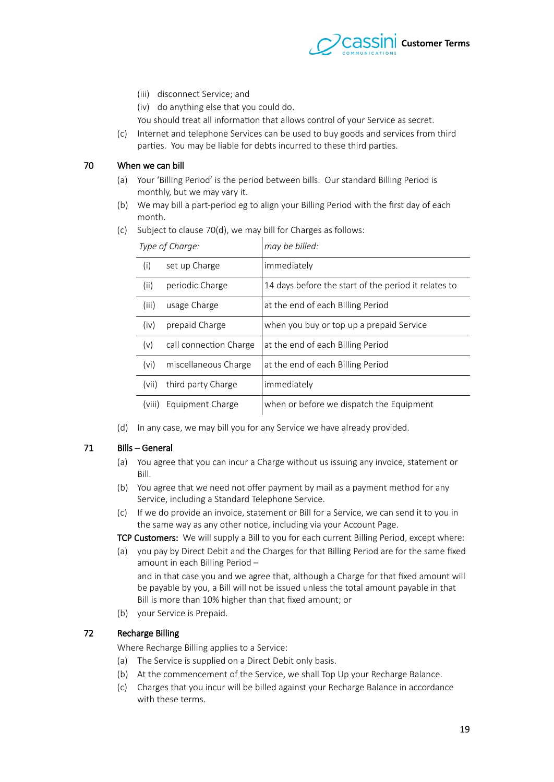

- (iii) disconnect Service; and
- (iv) do anything else that you could do.

You should treat all information that allows control of your Service as secret.

(c) Internet and telephone Services can be used to buy goods and services from third parties. You may be liable for debts incurred to these third parties.

#### 70 When we can bill

- <span id="page-18-2"></span><span id="page-18-1"></span>(a) Your 'Billing Period' is the period between bills. Our standard Billing Period is monthly, but we may vary it.
- (b) We may bill a part-period eg to align your Billing Period with the frst day of each month.

| Type of Charge:   |                        | may be billed:                                       |
|-------------------|------------------------|------------------------------------------------------|
| (i)               | set up Charge          | immediately                                          |
| (ii)              | periodic Charge        | 14 days before the start of the period it relates to |
| (iii)             | usage Charge           | at the end of each Billing Period                    |
| (iv)              | prepaid Charge         | when you buy or top up a prepaid Service             |
| (v)               | call connection Charge | at the end of each Billing Period                    |
| (v <sub>i</sub> ) | miscellaneous Charge   | at the end of each Billing Period                    |
| (vii)             | third party Charge     | immediately                                          |
| (VIII)            | Equipment Charge       | when or before we dispatch the Equipment             |

(c) Subject to clause  $70(d)$ , we may bill for Charges as follows:

<span id="page-18-0"></span>(d) In any case, we may bill you for any Service we have already provided.

## 71 Bills – General

- (a) You agree that you can incur a Charge without us issuing any invoice, statement or Bill.
- (b) You agree that we need not offer payment by mail as a payment method for any Service, including a Standard Telephone Service.
- (c) If we do provide an invoice, statement or Bill for a Service, we can send it to you in the same way as any other notice, including via your Account Page.

TCP Customers: We will supply a Bill to you for each current Billing Period, except where:

- (a) you pay by Direct Debit and the Charges for that Billing Period are for the same fxed amount in each Billing Period – and in that case you and we agree that, although a Charge for that fxed amount will be payable by you, a Bill will not be issued unless the total amount payable in that
	- Bill is more than 10% higher than that fxed amount; or
- (b) your Service is Prepaid.

#### 72 Recharge Billing

<span id="page-18-3"></span>Where Recharge Billing applies to a Service:

- (a) The Service is supplied on a Direct Debit only basis.
- (b) At the commencement of the Service, we shall Top Up your Recharge Balance.
- (c) Charges that you incur will be billed against your Recharge Balance in accordance with these terms.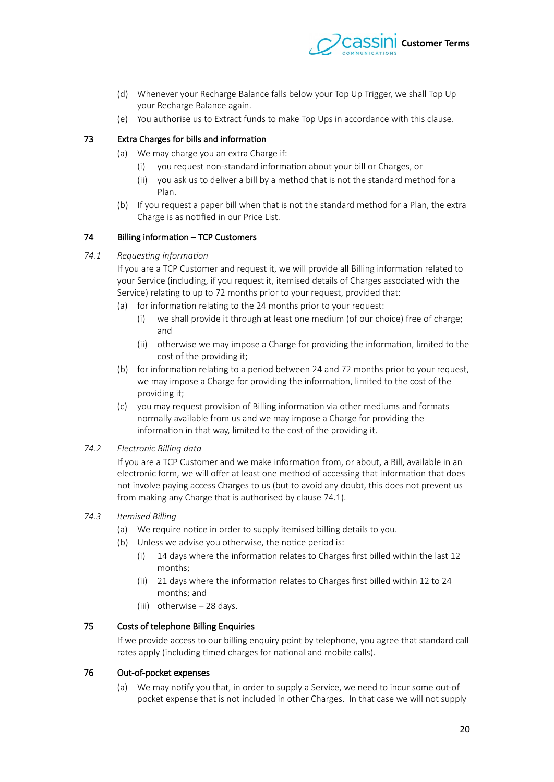

- (d) Whenever your Recharge Balance falls below your Top Up Trigger, we shall Top Up your Recharge Balance again.
- (e) You authorise us to Extract funds to make Top Ups in accordance with this clause.

# 73 Extra Charges for bills and information

- (a) We may charge you an extra Charge if:
	- (i) you request non-standard information about your bill or Charges, or
	- (ii) you ask us to deliver a bill by a method that is not the standard method for a Plan.
- (b) If you request a paper bill when that is not the standard method for a Plan, the extra Charge is as notifed in our Price List.

#### 74 Billing information – TCP Customers

#### 74.1 Requesting information

<span id="page-19-0"></span>If you are a TCP Customer and request it, we will provide all Billing information related to your Service (including, if you request it, itemised details of Charges associated with the Service) relating to up to 72 months prior to your request, provided that:

- (a) for information relating to the 24 months prior to your request:
	- (i) we shall provide it through at least one medium (of our choice) free of charge; and
	- (ii) otherwise we may impose a Charge for providing the information, limited to the cost of the providing it;
- (b) for information relating to a period between 24 and 72 months prior to your request, we may impose a Charge for providing the information, limited to the cost of the providing it;
- (c) you may request provision of Billing information via other mediums and formats normally available from us and we may impose a Charge for providing the information in that way, limited to the cost of the providing it.

#### 74.2 **Electronic Billing data**

If you are a TCP Customer and we make information from, or about, a Bill, available in an electronic form, we will offer at least one method of accessing that information that does not involve paying access Charges to us (but to avoid any doubt, this does not prevent us from making any Charge that is authorised by clause 74.1).

#### *74.3 Ittmietd Billing*

- (a) We require notice in order to supply itemised billing details to you.
- (b) Unless we advise you otherwise, the notice period is:
	- (i) 1 days where the information relates to Charges frst billed within the last 12 months;
	- (ii) 21 days where the information relates to Charges first billed within 12 to 24 months; and
	- (iii) otherwise 28 days.

## 75 Costs of telephone Billing Enquiries

If we provide access to our billing enquiry point by telephone, you agree that standard call rates apply (including timed charges for national and mobile calls).

#### 76 Out-of-pocket expenses

(a) We may notify you that, in order to supply a Service, we need to incur some out-of pocket expense that is not included in other Charges. In that case we will not supply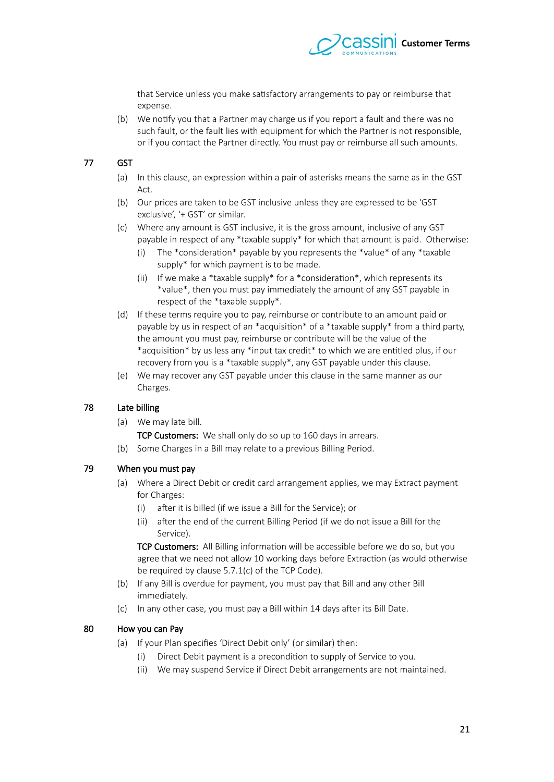

that Service unless you make satisfactory arrangements to pay or reimburse that expense.

(b) We notify you that a Partner may charge us if you report a fault and there was no such fault, or the fault lies with equipment for which the Partner is not responsible, or if you contact the Partner directly. You must pay or reimburse all such amounts.

# 77 GST

- (a) In this clause, an expression within a pair of asterisks means the same as in the GST Act.
- (b) Our prices are taken to be GST inclusive unless they are expressed to be 'GST exclusive', '+ GST' or similar.
- (c) Where any amount is GST inclusive, it is the gross amount, inclusive of any GST payable in respect of any \*taxable supply\* for which that amount is paid. Otherwise:
	- (i) The \*consideration\* payable by you represents the \*value\* of any \*taxable supply\* for which payment is to be made.
	- (ii) If we make a \*taxable supply\* for a \*consideration\*, which represents its \*value\*, then you must pay immediately the amount of any GST payable in respect of the \*taxable supply\*.
- (d) If these terms require you to pay, reimburse or contribute to an amount paid or payable by us in respect of an \*acquisition\* of a \*taxable supply\* from a third party, the amount you must pay, reimburse or contribute will be the value of the \*acquisition\* by us less any \*input tax credit\* to which we are entitled plus, if our recovery from you is a \*taxable supply\*, any GST payable under this clause.
- (e) We may recover any GST payable under this clause in the same manner as our Charges.

## 78 Late billing

- (a) We may late bill.
	- TCP Customers: We shall only do so up to 160 days in arrears.
- (b) Some Charges in a Bill may relate to a previous Billing Period.

## 79 When you must pay

- (a) Where a Direct Debit or credit card arrangement applies, we may Extract payment for Charges:
	- $(i)$  after it is billed (if we issue a Bill for the Service); or
	- (ii) after the end of the current Billing Period (if we do not issue a Bill for the Service).

TCP Customers: All Billing information will be accessible before we do so, but you agree that we need not allow 10 working days before Extraction (as would otherwise be required by clause  $5.7.1(c)$  of the TCP Code).

- (b) If any Bill is overdue for payment, you must pay that Bill and any other Bill immediately.
- (c) In any other case, you must pay a Bill within 14 days after its Bill Date.

# 80 How you can Pay

- (a) If your Plan specifes 'Direct Debit only' (or similar) then:
	- (i) Direct Debit payment is a precondition to supply of Service to you.
	- (ii) We may suspend Service if Direct Debit arrangements are not maintained.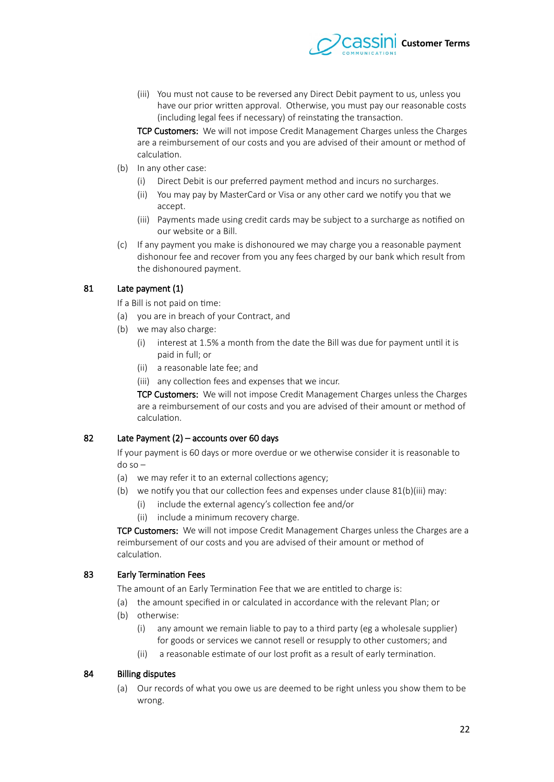

(iii) You must not cause to be reversed any Direct Debit payment to us, unless you have our prior writen approval. Otherwise, you must pay our reasonable costs (including legal fees if necessary) of reinstating the transaction.

TCP Customers: We will not impose Credit Management Charges unless the Charges are a reimbursement of our costs and you are advised of their amount or method of calculation.

- (b) In any other case:
	- (i) Direct Debit is our preferred payment method and incurs no surcharges.
	- (ii) You may pay by MasterCard or Visa or any other card we notify you that we accept.
	- (iii) Payments made using credit cards may be subject to a surcharge as notifed on our website or a Bill.
- (c) If any payment you make is dishonoured we may charge you a reasonable payment dishonour fee and recover from you any fees charged by our bank which result from the dishonoured payment.

# 81 Late payment (1)

<span id="page-21-3"></span>If a Bill is not paid on time:

- (a) you are in breach of your Contract, and
- <span id="page-21-2"></span>(b) we may also charge:
	- (i) interest at 1.5% a month from the date the Bill was due for payment until it is paid in full; or
	- (ii) a reasonable late fee; and
	- (iii) any collection fees and expenses that we incur.

<span id="page-21-1"></span>TCP Customers: We will not impose Credit Management Charges unless the Charges are a reimbursement of our costs and you are advised of their amount or method of calculation.

## 82 Late Payment (2) – accounts over 60 days

If your payment is 60 days or more overdue or we otherwise consider it is reasonable to do so –

- (a) we may refer it to an external collections agency;
- (b) we notify you that our collection fees and expenses under clause [81](#page-21-3)[\(b\)](#page-21-2)[\(iii\)](#page-21-1) may:
	- (i) include the external agency's collection fee and/or
	- (ii) include a minimum recovery charge.

TCP Customers: We will not impose Credit Management Charges unless the Charges are a reimbursement of our costs and you are advised of their amount or method of calculation.

## 83 Early Termination Fees

<span id="page-21-0"></span>The amount of an Early Termination Fee that we are entitled to charge is:

- (a) the amount specifed in or calculated in accordance with the relevant Plan; or
- (b) otherwise:
	- (i) any amount we remain liable to pay to a third party (eg a wholesale supplier) for goods or services we cannot resell or resupply to other customers; and
	- (ii) a reasonable estimate of our lost proft as a result of early termination.

## 84 Billing disputes

(a) Our records of what you owe us are deemed to be right unless you show them to be wrong.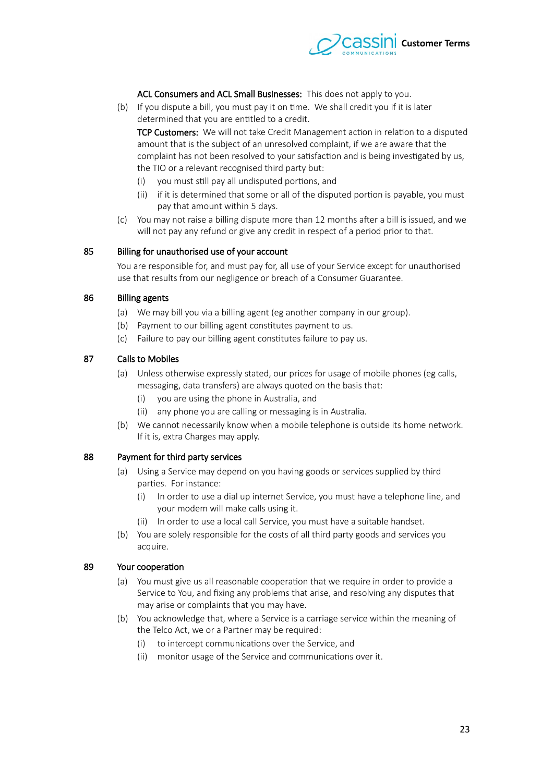

#### ACL Consumers and ACL Small Businesses: This does not apply to you.

(b) If you dispute a bill, you must pay it on time. We shall credit you if it is later determined that you are entitled to a credit.

TCP Customers: We will not take Credit Management action in relation to a disputed amount that is the subject of an unresolved complaint, if we are aware that the complaint has not been resolved to your satisfaction and is being investigated by us, the TIO or a relevant recognised third party but:

- (i) you must still pay all undisputed portions, and
- (ii) if it is determined that some or all of the disputed portion is payable, you must pay that amount within 5 days.
- (c) You may not raise a billing dispute more than 12 months afer a bill is issued, and we will not pay any refund or give any credit in respect of a period prior to that.

#### 85 Billing for unauthorised use of your account

You are responsible for, and must pay for, all use of your Service except for unauthorised use that results from our negligence or breach of a Consumer Guarantee.

#### 86 Billing agents

- (a) We may bill you via a billing agent (eg another company in our group).
- (b) Payment to our billing agent constitutes payment to us.
- (c) Failure to pay our billing agent constitutes failure to pay us.

#### 87 Calls to Mobiles

- (a) Unless otherwise expressly stated, our prices for usage of mobile phones (eg calls, messaging, data transfers) are always quoted on the basis that:
	- (i) you are using the phone in Australia, and
	- (ii) any phone you are calling or messaging is in Australia.
- (b) We cannot necessarily know when a mobile telephone is outside its home network. If it is, extra Charges may apply.

#### 88 Payment for third party services

- (a) Using a Service may depend on you having goods or services supplied by third parties. For instance:
	- (i) In order to use a dial up internet Service, you must have a telephone line, and your modem will make calls using it.
	- (ii) In order to use a local call Service, you must have a suitable handset.
- (b) You are solely responsible for the costs of all third party goods and services you acquire.

#### 89 Your cooperation

- (a) You must give us all reasonable cooperation that we require in order to provide a Service to You, and fxing any problems that arise, and resolving any disputes that may arise or complaints that you may have.
- (b) You acknowledge that, where a Service is a carriage service within the meaning of the Telco Act, we or a Partner may be required:
	- (i) to intercept communications over the Service, and
	- (ii) monitor usage of the Service and communications over it.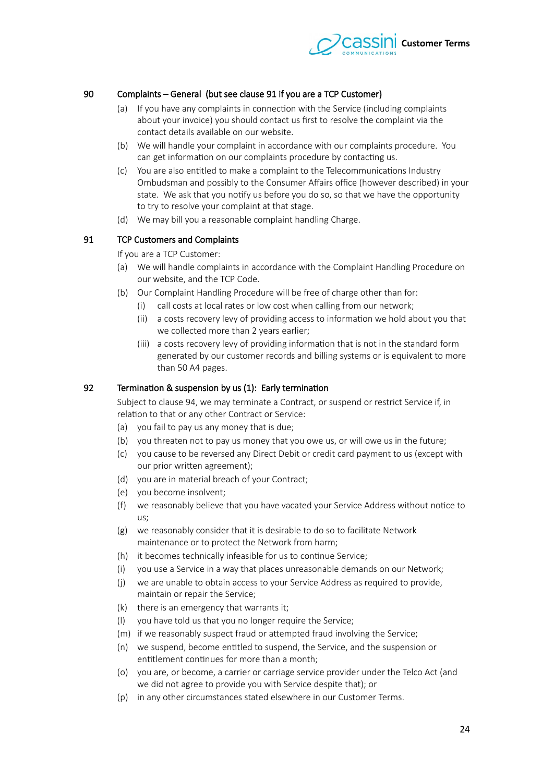

# 90 Complaints – General (but see clause 91 if you are a TCP Customer)

- (a) If you have any complaints in connection with the Service (including complaints about your invoice) you should contact us frst to resolve the complaint via the contact details available on our website.
- (b) We will handle your complaint in accordance with our complaints procedure. You can get information on our complaints procedure by contacting us.
- (c) You are also entitled to make a complaint to the Telecommunications Industry Ombudsman and possibly to the Consumer Affairs office (however described) in your state. We ask that you notify us before you do so, so that we have the opportunity to try to resolve your complaint at that stage.
- (d) We may bill you a reasonable complaint handling Charge.

## 91 TCP Customers and Complaints

<span id="page-23-0"></span>If you are a TCP Customer:

- (a) We will handle complaints in accordance with the Complaint Handling Procedure on our website, and the TCP Code.
- (b) Our Complaint Handling Procedure will be free of charge other than for:
	- (i) call costs at local rates or low cost when calling from our network;
	- (ii) a costs recovery levy of providing access to information we hold about you that we collected more than 2 years earlier;
	- (iii) a costs recovery levy of providing information that is not in the standard form generated by our customer records and billing systems or is equivalent to more than 50 A4 pages.

#### 92 Termination & suspension by us (1): Early termination

Subject to clause 94, we may terminate a Contract, or suspend or restrict Service if, in relation to that or any other Contract or Service:

- (a) you fail to pay us any money that is due;
- (b) you threaten not to pay us money that you owe us, or will owe us in the future;
- (c) you cause to be reversed any Direct Debit or credit card payment to us (except with our prior writen agreement);
- (d) you are in material breach of your Contract;
- (e) you become insolvent;
- (f) we reasonably believe that you have vacated your Service Address without notice to us;
- (g) we reasonably consider that it is desirable to do so to facilitate Network maintenance or to protect the Network from harm;
- (h) it becomes technically infeasible for us to continue Service;
- (i) you use a Service in a way that places unreasonable demands on our Network;
- (j) we are unable to obtain access to your Service Address as required to provide, maintain or repair the Service;
- (k) there is an emergency that warrants it;
- (l) you have told us that you no longer require the Service;
- (m) if we reasonably suspect fraud or atempted fraud involving the Service;
- (n) we suspend, become entitled to suspend, the Service, and the suspension or entitlement continues for more than a month;
- (o) you are, or become, a carrier or carriage service provider under the Telco Act (and we did not agree to provide you with Service despite that); or
- (p) in any other circumstances stated elsewhere in our Customer Terms.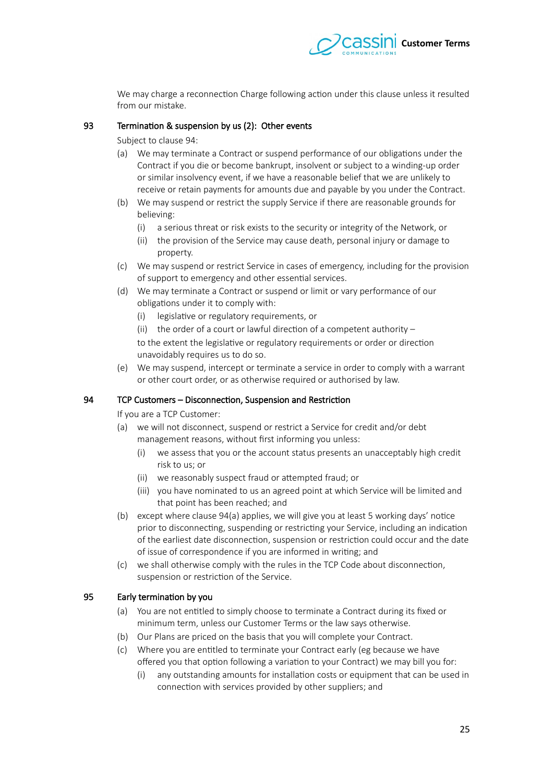

We may charge a reconnection Charge following action under this clause unless it resulted from our mistake.

#### 93 Termination & suspension by us (2): Other events

Subject to clause 94:

- (a) We may terminate a Contract or suspend performance of our obligations under the Contract if you die or become bankrupt, insolvent or subject to a winding-up order or similar insolvency event, if we have a reasonable belief that we are unlikely to receive or retain payments for amounts due and payable by you under the Contract.
- (b) We may suspend or restrict the supply Service if there are reasonable grounds for believing:
	- (i) a serious threat or risk exists to the security or integrity of the Network, or
	- (ii) the provision of the Service may cause death, personal injury or damage to property.
- (c) We may suspend or restrict Service in cases of emergency, including for the provision of support to emergency and other essential services.
- (d) We may terminate a Contract or suspend or limit or vary performance of our obligations under it to comply with:
	- (i) legislative or regulatory requirements, or
	- (ii) the order of a court or lawful direction of a competent authority  $-$

to the extent the legislative or regulatory requirements or order or direction unavoidably requires us to do so.

(e) We may suspend, intercept or terminate a service in order to comply with a warrant or other court order, or as otherwise required or authorised by law.

## 94 TCP Customers – Disconnection, Suspension and Restriction

<span id="page-24-0"></span>If you are a TCP Customer:

- <span id="page-24-1"></span>(a) we will not disconnect, suspend or restrict a Service for credit and/or debt management reasons, without first informing you unless:
	- (i) we assess that you or the account status presents an unacceptably high credit risk to us; or
	- (ii) we reasonably suspect fraud or atempted fraud; or
	- (iii) you have nominated to us an agreed point at which Service will be limited and that point has been reached; and
- (b) except where clause  $94(a)$  applies, we will give you at least 5 working days' notice prior to disconnecting, suspending or restricting your Service, including an indication of the earliest date disconnection, suspension or restriction could occur and the date of issue of correspondence if you are informed in writing; and
- (c) we shall otherwise comply with the rules in the TCP Code about disconnection, suspension or restriction of the Service.

# 95 Early termination by you

- <span id="page-24-2"></span>(a) You are not entitled to simply choose to terminate a Contract during its fxed or minimum term, unless our Customer Terms or the law says otherwise.
- (b) Our Plans are priced on the basis that you will complete your Contract.
- (c) Where you are entitled to terminate your Contract early (eg because we have ofered you that option following a variation to your Contract) we may bill you for:
	- (i) any outstanding amounts for installation costs or equipment that can be used in connection with services provided by other suppliers; and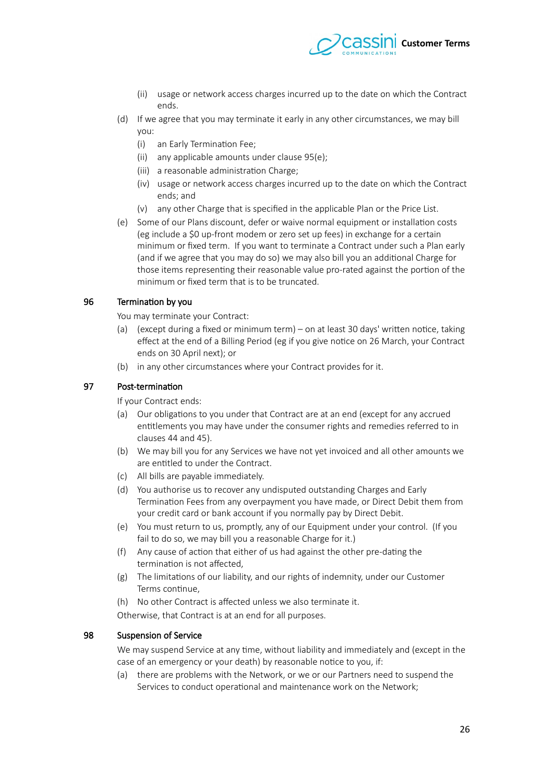

- (ii) usage or network access charges incurred up to the date on which the Contract ends.
- (d) If we agree that you may terminate it early in any other circumstances, we may bill you:
	- (i) an Early Termination Fee;
	- (ii) any applicable amounts under clause 95[\(e\);](#page-25-0)
	- (iii) a reasonable administration Charge;
	- (iv) usage or network access charges incurred up to the date on which the Contract ends; and
	- (v) any other Charge that is specifed in the applicable Plan or the Price List.
- <span id="page-25-0"></span>(e) Some of our Plans discount, defer or waive normal equipment or installation costs (eg include a \$0 up-front modem or iero set up fees) in exchange for a certain minimum or fxed term. If you want to terminate a Contract under such a Plan early (and if we agree that you may do so) we may also bill you an additional Charge for those items representing their reasonable value pro-rated against the portion of the minimum or fxed term that is to be truncated.

## 96 Termination by you

You may terminate your Contract:

- (a) (except during a fxed or minimum term) on at least 30 days' writen notice, taking efect at the end of a Billing Period (eg if you give notice on 26 March, your Contract ends on 30 April next); or
- (b) in any other circumstances where your Contract provides for it.

#### 97 Post-termination

If your Contract ends:

- (a) Our obligations to you under that Contract are at an end (except for any accrued entitlements you may have under the consumer rights and remedies referred to in clauses44 and 45).
- (b) We may bill you for any Services we have not yet invoiced and all other amounts we are entitled to under the Contract.
- (c) All bills are payable immediately.
- (d) You authorise us to recover any undisputed outstanding Charges and Early Termination Fees from any overpayment you have made, or Direct Debit them from your credit card or bank account if you normally pay by Direct Debit.
- (e) You must return to us, promptly, any of our Equipment under your control. (If you fail to do so, we may bill you a reasonable Charge for it.)
- (f) Any cause of action that either of us had against the other pre-dating the termination is not afected,
- (g) The limitations of our liability, and our rights of indemnity, under our Customer Terms continue,
- (h) No other Contract is afected unless we also terminate it.
- Otherwise, that Contract is at an end for all purposes.

#### 98 Suspension of Service

We may suspend Service at any time, without liability and immediately and (except in the case of an emergency or your death) by reasonable notice to you, if:

(a) there are problems with the Network, or we or our Partners need to suspend the Services to conduct operational and maintenance work on the Network;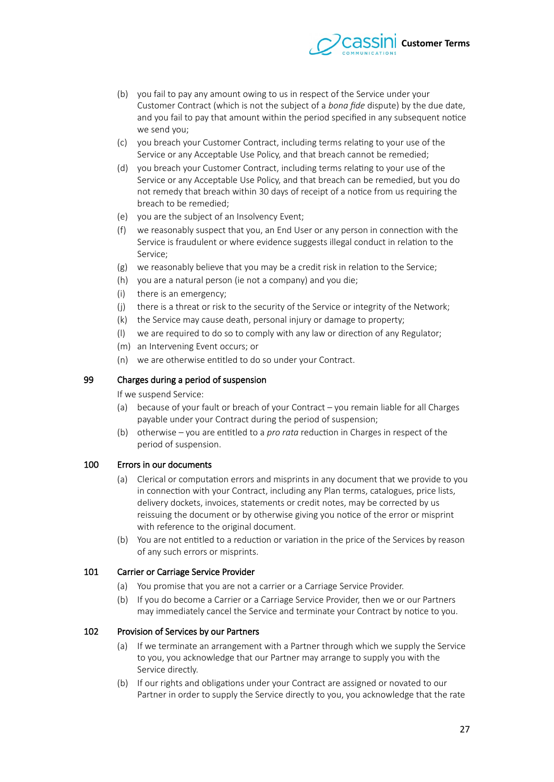

- (b) you fail to pay any amount owing to us in respect of the Service under your Customer Contract (which is not the subject of a *bona fide* dispute) by the due date, and you fail to pay that amount within the period specifed in any subsequent notice we send you;
- (c) you breach your Customer Contract, including terms relating to your use of the Service or any Acceptable Use Policy, and that breach cannot be remedied;
- (d) you breach your Customer Contract, including terms relating to your use of the Service or any Acceptable Use Policy, and that breach can be remedied, but you do not remedy that breach within 30 days of receipt of a notice from us requiring the breach to be remedied;
- (e) you are the subject of an Insolvency Event;
- (f) we reasonably suspect that you, an End User or any person in connection with the Service is fraudulent or where evidence suggests illegal conduct in relation to the Service;
- (g) we reasonably believe that you may be a credit risk in relation to the Service;
- (h) you are a natural person (ie not a company) and you die;
- (i) there is an emergency;
- (j) there is a threat or risk to the security of the Service or integrity of the Network;
- (k) the Service may cause death, personal injury or damage to property;
- (l) we are required to do so to comply with any law or direction of any Regulator;
- (m) an Intervening Event occurs; or
- (n) we are otherwise entitled to do so under your Contract.

#### 99 Charges during a period of suspension

If we suspend Service:

- (a) because of your fault or breach of your Contract you remain liable for all Charges payable under your Contract during the period of suspension;
- (b) otherwise you are entitled to a *pro rata* reduction in Charges in respect of the period of suspension.

#### 100 Errors in our documents

- (a) Clerical or computation errors and misprints in any document that we provide to you in connection with your Contract, including any Plan terms, catalogues, price lists, delivery dockets, invoices, statements or credit notes, may be corrected by us reissuing the document or by otherwise giving you notice of the error or misprint with reference to the original document.
- (b) You are not entitled to a reduction or variation in the price of the Services by reason of any such errors or misprints.

#### 101 Carrier or Carriage Service Provider

- (a) You promise that you are not a carrier or a Carriage Service Provider.
- (b) If you do become a Carrier or a Carriage Service Provider, then we or our Partners may immediately cancel the Service and terminate your Contract by notice to you.

## 102 Provision of Services by our Partners

- (a) If we terminate an arrangement with a Partner through which we supply the Service to you, you acknowledge that our Partner may arrange to supply you with the Service directly.
- (b) If our rights and obligations under your Contract are assigned or novated to our Partner in order to supply the Service directly to you, you acknowledge that the rate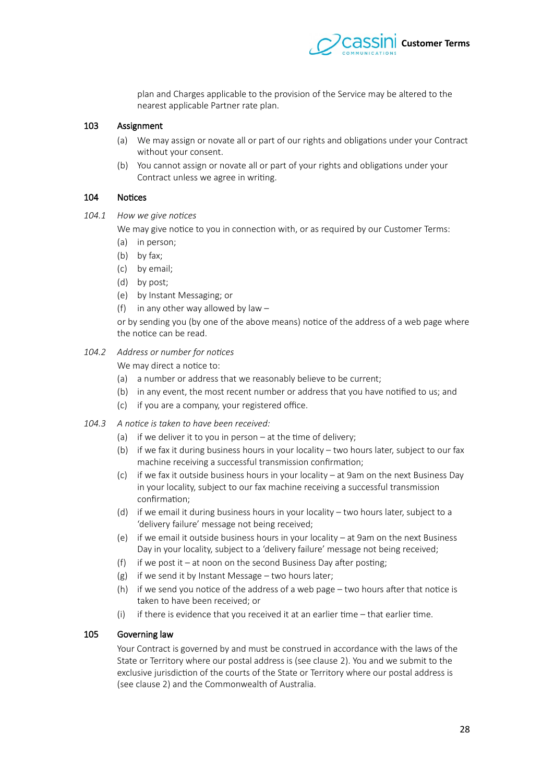

plan and Charges applicable to the provision of the Service may be altered to the nearest applicable Partner rate plan.

#### 103 Assignment

- (a) We may assign or novate all or part of our rights and obligations under your Contract without your consent.
- (b) You cannot assign or novate all or part of your rights and obligations under your Contract unless we agree in writing.

#### 104 Notices

104.1 How we give notices

We may give notice to you in connection with, or as required by our Customer Terms:

- (a) in person;
- (b) by fax;
- (c) by email;
- (d) by post;
- (e) by Instant Messaging; or
- (f) in any other way allowed by law  $-$

or by sending you (by one of the above means) notice of the address of a web page where the notice can be read.

#### 104.2 Address or number for notices

We may direct a notice to:

- (a) a number or address that we reasonably believe to be current;
- (b) in any event, the most recent number or address that you have notifed to us; and
- $(c)$  if you are a company, your registered office.
- 104.3 A notice is taken to have been received:
	- (a) if we deliver it to you in person at the time of delivery;
	- (b) if we fax it during business hours in your locality two hours later, subject to our fax machine receiving a successful transmission confrmation;
	- (c) if we fax it outside business hours in your locality at 9am on the next Business Day in your locality, subject to our fax machine receiving a successful transmission confrmation;
	- (d) if we email it during business hours in your locality two hours later, subject to a 'delivery failure' message not being received;
	- (e) if we email it outside business hours in your locality  $-$  at 9am on the next Business Day in your locality, subject to a 'delivery failure' message not being received;
	- (f) if we post it at noon on the second Business Day after posting;
	- (g) if we send it by Instant Message two hours later;
	- (h) if we send you notice of the address of a web page two hours afer that notice is taken to have been received; or
	- (i) if there is evidence that you received it at an earlier time that earlier time.

# 105 Governing law

Your Contract is governed by and must be construed in accordance with the laws of the State or Territory where our postal address is (see clause [2\)](#page-0-1). You and we submit to the exclusive jurisdiction of the courts of the State or Territory where our postal address is (see clause [2\)](#page-0-1) and the Commonwealth of Australia.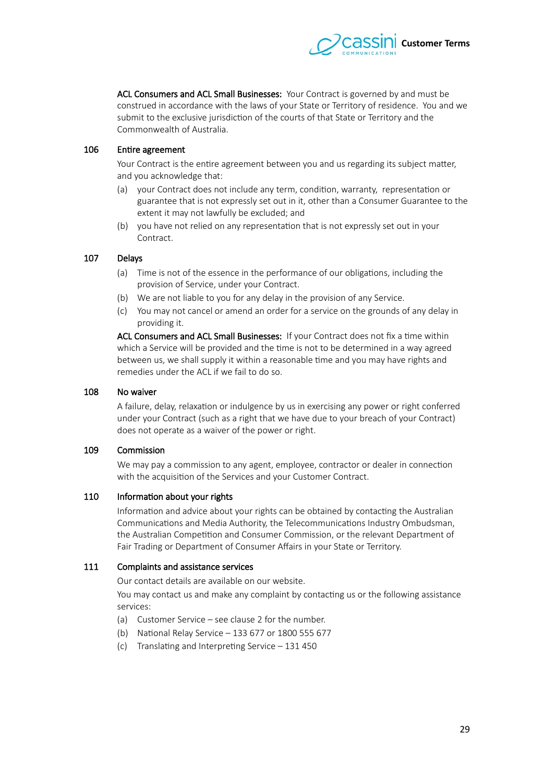

ACL Consumers and ACL Small Businesses: Your Contract is governed by and must be construed in accordance with the laws of your State or Territory of residence. You and we submit to the exclusive jurisdiction of the courts of that State or Territory and the Commonwealth of Australia.

#### 106 Entire agreement

Your Contract is the entire agreement between you and us regarding its subject mater, and you acknowledge that:

- (a) your Contract does not include any term, condition, warranty, representation or guarantee that is not expressly set out in it, other than a Consumer Guarantee to the extent it may not lawfully be excluded; and
- (b) you have not relied on any representation that is not expressly set out in your Contract.

#### 107 Delays

- (a) Time is not of the essence in the performance of our obligations, including the provision of Service, under your Contract.
- (b) We are not liable to you for any delay in the provision of any Service.
- (c) You may not cancel or amend an order for a service on the grounds of any delay in providing it.

ACL Consumers and ACL Small Businesses: If your Contract does not fix a time within which a Service will be provided and the time is not to be determined in a way agreed between us, we shall supply it within a reasonable time and you may have rights and remedies under the ACL if we fail to do so.

### 108 No waiver

A failure, delay, relaxation or indulgence by us in exercising any power or right conferred under your Contract (such as a right that we have due to your breach of your Contract) does not operate as a waiver of the power or right.

#### 109 Commission

We may pay a commission to any agent, employee, contractor or dealer in connection with the acquisition of the Services and your Customer Contract.

#### 110 Information about your rights

Information and advice about your rights can be obtained by contacting the Australian Communications and Media Authority, the Telecommunications Industry Ombudsman, the Australian Competition and Consumer Commission, or the relevant Department of Fair Trading or Department of Consumer Affairs in your State or Territory.

## 111 Complaints and assistance services

Our contact details are available on our website.

You may contact us and make any complaint by contacting us or the following assistance services:

- (a) Customer Service see clause [2](#page-0-1) for the number.
- (b) National Relay Service  $-133677$  or 1800 555 677
- (c) Translating and Interpreting Service  $-131450$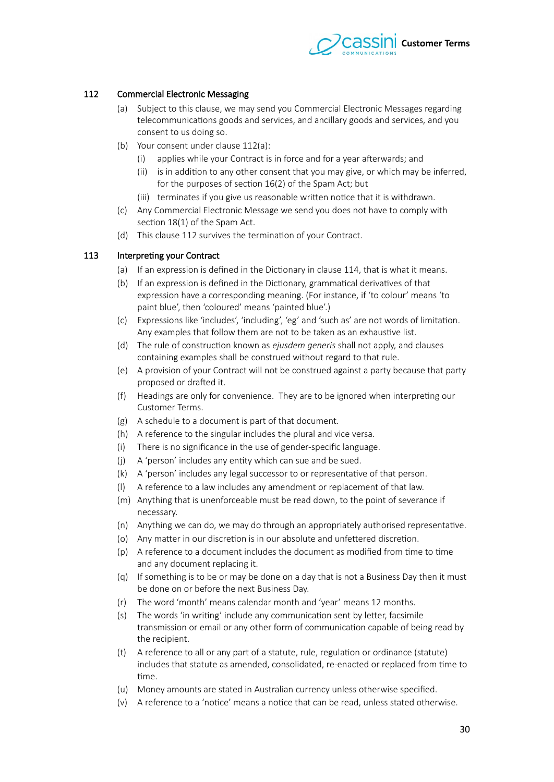

# 112 Commercial Electronic Messaging

- <span id="page-29-2"></span><span id="page-29-1"></span>(a) Subject to this clause, we may send you Commercial Electronic Messages regarding telecommunications goods and services, and ancillary goods and services, and you consent to us doing so.
- (b) Your consent under clause [112](#page-29-1)[\(a\):](#page-29-2)
	- (i) applies while your Contract is in force and for a year afterwards; and
	- (ii) is in addition to any other consent that you may give, or which may be inferred, for the purposes of section 16(2) of the Spam Act; but
	- (iii) terminates if you give us reasonable writen notice that it is withdrawn.
- (c) Any Commercial Electronic Message we send you does not have to comply with section 18(1) of the Spam Act.
- (d) This clause [112](#page-29-1) survives the termination of your Contract.

# 113 Interpreting your Contract

- <span id="page-29-0"></span>(a) If an expression is defined in the Dictionary in clause 114, that is what it means.
- (b) If an expression is defned in the Dictionary, grammatical derivatives of that expression have a corresponding meaning. (For instance, if 'to colour' means 'to paint blue', then 'coloured' means 'painted blue'.)
- (c) Expressions like 'includes', 'including', 'eg' and 'such as' are not words of limitation. Any examples that follow them are not to be taken as an exhaustive list.
- (d) The rule of construction known as *ejusdem generis* shall not apply, and clauses containing examples shall be construed without regard to that rule.
- (e) A provision of your Contract will not be construed against a party because that party proposed or drafed it.
- (f) Headings are only for convenience. They are to be ignored when interpreting our Customer Terms.
- (g) A schedule to a document is part of that document.
- (h) A reference to the singular includes the plural and vice versa.
- (i) There is no signifcance in the use of gender-specifc language.
- (j) A 'person' includes any entity which can sue and be sued.
- (k) A 'person' includes any legal successor to or representative of that person.
- (l) A reference to a law includes any amendment or replacement of that law.
- (m) Anything that is unenforceable must be read down, to the point of severance if necessary.
- (n) Anything we can do, we may do through an appropriately authorised representative.
- (o) Any matter in our discretion is in our absolute and unfettered discretion.
- (p) A reference to a document includes the document as modifed from time to time and any document replacing it.
- (q) If something is to be or may be done on a day that is not a Business Day then it must be done on or before the next Business Day.
- (r) The word 'month' means calendar month and 'year' means 12 months.
- (s) The words 'in writing' include any communication sent by letter, facsimile transmission or email or any other form of communication capable of being read by the recipient.
- (t) A reference to all or any part of a statute, rule, regulation or ordinance (statute) includes that statute as amended, consolidated, re-enacted or replaced from time to time.
- (u) Money amounts are stated in Australian currency unless otherwise specifed.
- (v) A reference to a 'notice' means a notice that can be read, unless stated otherwise.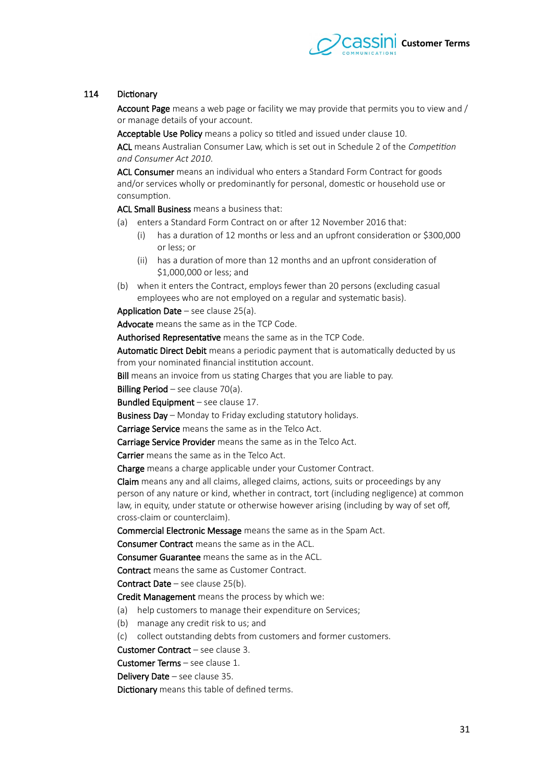

# 114 Dictionary

<span id="page-30-0"></span>Account Page means a web page or facility we may provide that permits you to view and / or manage details of your account.

Acceptable Use Policy means a policy so titled and issued under clause [10.](#page-1-0) ACL means Australian Consumer Law, which is set out in Schedule 2 of the *Competition* and Consumer Act 2010.

ACL Consumer means an individual who enters a Standard Form Contract for goods and/or services wholly or predominantly for personal, domestic or household use or consumption.

ACL Small Business means a business that:

- (a) enters a Standard Form Contract on or after 12 November 2016 that:
	- (i) has a duration of 12 months or less and an upfront consideration or \$300,000 or less; or
	- (ii) has a duration of more than 12 months and an upfront consideration of \$1,000,000 or less; and
- (b) when it enters the Contract, employs fewer than 20 persons (excluding casual employees who are not employed on a regular and systematic basis).

Application Date – see clause  $25(a)$ .

Advocate means the same as in the TCP Code.

Authorised Representative means the same as in the TCP Code.

Automatic Direct Debit means a periodic payment that is automatically deducted by us from your nominated financial institution account.

Bill means an invoice from us stating Charges that you are liable to pay.

Billing Period – see clause  $70(a)$ .

Bundled Equipment – see clause  $17$ .

Business Day – Monday to Friday excluding statutory holidays.

Carriage Service means the same as in the Telco Act.

Carriage Service Provider means the same as in the Telco Act.

Carrier means the same as in the Telco Act.

Charge means a charge applicable under your Customer Contract.

Claim means any and all claims, alleged claims, actions, suits or proceedings by any person of any nature or kind, whether in contract, tort (including negligence) at common law, in equity, under statute or otherwise however arising (including by way of set off, cross-claim or counterclaim).

Commercial Electronic Message means the same as in the Spam Act.

Consumer Contract means the same as in the ACL.

Consumer Guarantee means the same as in the ACL.

Contract means the same as Customer Contract.

**Contract Date** – see clause  $25(b)$ .

Credit Management means the process by which we:

- (a) help customers to manage their expenditure on Services;
- (b) manage any credit risk to us; and

(c) collect outstanding debts from customers and former customers.

Customer Contract – see clause [3.](#page-0-3)

Customer Terms – see clause [1.](#page-0-2)

Delivery Date – see clause [35.](#page-7-1)

Dictionary means this table of defined terms.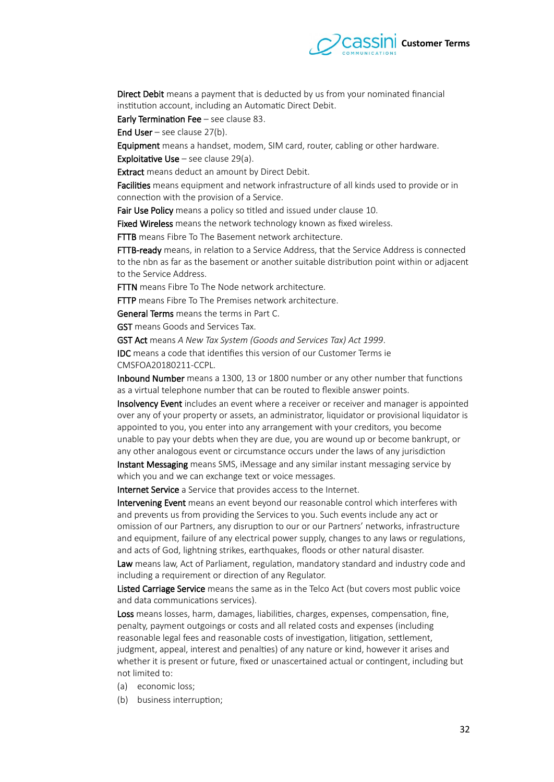

Direct Debit means a payment that is deducted by us from your nominated fnancial institution account, including an Automatic Direct Debit.

Early Termination Fee – see clause [83.](#page-21-0)

End User – see clause  $27(b)$ .

Equipment means a handset, modem, SIM card, router, cabling or other hardware.

**Exploitative Use** – see clause  $29(a)$ .

**Extract** means deduct an amount by Direct Debit.

Facilities means equipment and network infrastructure of all kinds used to provide or in connection with the provision of a Service.

Fair Use Policy means a policy so titled and issued under clause [10.](#page-1-0)

Fixed Wireless means the network technology known as fixed wireless.

FTTB means Fibre To The Basement network architecture.

FTTB-ready means, in relation to a Service Address, that the Service Address is connected to the nbn as far as the basement or another suitable distribution point within or adjacent to the Service Address.

**FTTN** means Fibre To The Node network architecture.

**FTTP** means Fibre To The Premises network architecture.

General Terms means the terms in [Part C.](#page-3-0)

GST means Goods and Services Tax.

GST Act means A New Tax System (Goods and Services Tax) Act 1999.

IDC means a code that identifes this version of our Customer Terms ie CMSFOA20180211-CCPL.

Inbound Number means a 1300, 13 or 1800 number or any other number that functions as a virtual telephone number that can be routed to flexible answer points.

Insolvency Event includes an event where a receiver or receiver and manager is appointed over any of your property or assets, an administrator, liquidator or provisional liquidator is appointed to you, you enter into any arrangement with your creditors, you become unable to pay your debts when they are due, you are wound up or become bankrupt, or any other analogous event or circumstance occurs under the laws of any jurisdiction

Instant Messaging means SMS, iMessage and any similar instant messaging service by which you and we can exchange text or voice messages.

Internet Service a Service that provides access to the Internet.

Intervening Event means an event beyond our reasonable control which interferes with and prevents us from providing the Services to you. Such events include any act or omission of our Partners, any disruption to our or our Partners' networks, infrastructure and equipment, failure of any electrical power supply, changes to any laws or regulations, and acts of God, lightning strikes, earthquakes, foods or other natural disaster.

Law means law, Act of Parliament, regulation, mandatory standard and industry code and including a requirement or direction of any Regulator.

Listed Carriage Service means the same as in the Telco Act (but covers most public voice and data communications services).

Loss means losses, harm, damages, liabilities, charges, expenses, compensation, fine, penalty, payment outgoings or costs and all related costs and expenses (including reasonable legal fees and reasonable costs of investigation, litigation, setlement, judgment, appeal, interest and penalties) of any nature or kind, however it arises and whether it is present or future, fxed or unascertained actual or contingent, including but not limited to:

- (a) economic loss;
- (b) business interruption;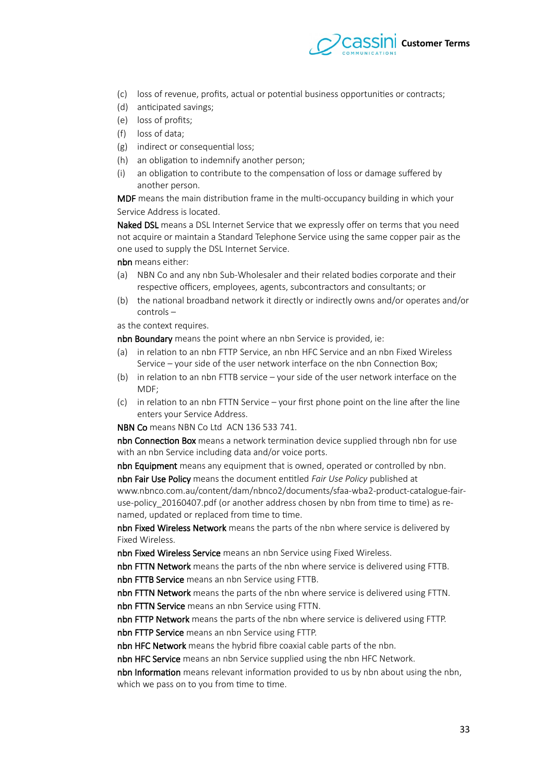

- (c) loss of revenue, profts, actual or potential business opportunities or contracts;
- (d) anticipated savings;
- (e) loss of profits:
- (f) loss of data;
- (g) indirect or consequential loss;
- (h) an obligation to indemnify another person;
- (i) an obligation to contribute to the compensation of loss or damage sufered by another person.

MDF means the main distribution frame in the multi-occupancy building in which your Service Address is located.

Naked DSL means a DSL Internet Service that we expressly offer on terms that you need not acquire or maintain a Standard Telephone Service using the same copper pair as the one used to supply the DSL Internet Service.

nbn means either:

- (a) NBN Co and any nbn Sub-Wholesaler and their related bodies corporate and their respective officers, employees, agents, subcontractors and consultants; or
- (b) the national broadband network it directly or indirectly owns and/or operates and/or controls –

as the context requires.

nbn Boundary means the point where an nbn Service is provided, ie:

- (a) in relation to an nbn FTTP Service, an nbn HFC Service and an nbn Fixed Wireless Service – your side of the user network interface on the nbn Connection Box;
- (b) in relation to an nbn FTTB service your side of the user network interface on the MDF;
- $(c)$  in relation to an nbn FTTN Service your first phone point on the line after the line enters your Service Address.

NBN Co means NBN Co Ltd ACN 136 533 741.

nbn Connection Box means a network termination device supplied through nbn for use with an nbn Service including data and/or voice ports.

nbn Equipment means any equipment that is owned, operated or controlled by nbn.

nbn Fair Use Policy means the document entitled *Fair Use Policy* published at www.nbnco.com.au/content/dam/nbnco2/documents/sfaa-wba2-product-catalogue-fairuse-policy 20160 407.pdf (or another address chosen by nbn from time to time) as renamed, updated or replaced from time to time.

nbn Fixed Wireless Network means the parts of the nbn where service is delivered by Fixed Wireless.

nbn Fixed Wireless Service means an nbn Service using Fixed Wireless.

nbn FTTN Network means the parts of the nbn where service is delivered using FTTB. nbn FTTB Service means an nbn Service using FTTB.

nbn FTTN Network means the parts of the nbn where service is delivered using FTTN. nbn FTTN Service means an nbn Service using FTTN.

nbn FTTP Network means the parts of the nbn where service is delivered using FTTP. nbn FTTP Service means an nbn Service using FTTP.

nbn HFC Network means the hybrid fibre coaxial cable parts of the nbn.

nbn HFC Service means an nbn Service supplied using the nbn HFC Network.

nbn Information means relevant information provided to us by nbn about using the nbn, which we pass on to you from time to time.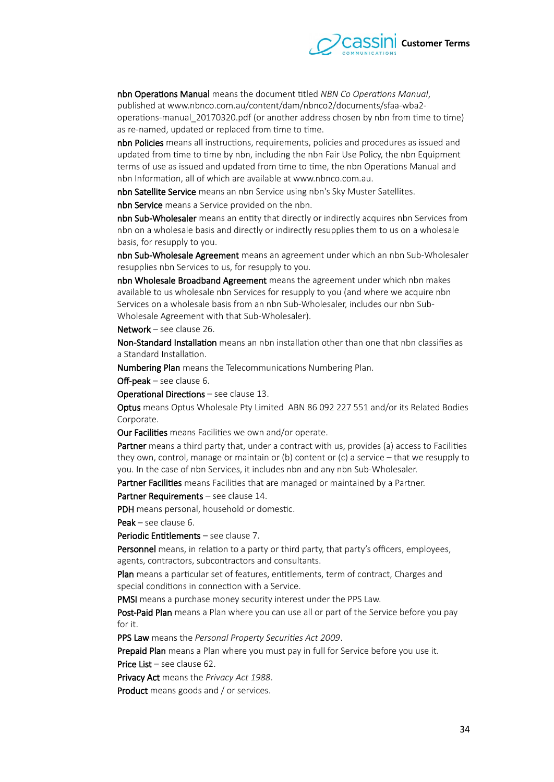

nbn Operations Manual means the document titled *NBN Co Operations Manual*, published at www.nbnco.com.au/content/dam/nbnco2/documents/sfaa-wba2 operations-manual 20170320.pdf (or another address chosen by nbn from time to time) as re-named, updated or replaced from time to time.

nbn Policies means all instructions, requirements, policies and procedures as issued and updated from time to time by nbn, including the nbn Fair Use Policy, the nbn Equipment terms of use as issued and updated from time to time, the nbn Operations Manual and nbn Information, all of which are available at www.nbnco.com.au.

nbn Satellite Service means an nbn Service using nbn's Sky Muster Satellites.

nbn Service means a Service provided on the nbn.

nbn Sub-Wholesaler means an entity that directly or indirectly acquires nbn Services from nbn on a wholesale basis and directly or indirectly resupplies them to us on a wholesale basis, for resupply to you.

nbn Sub-Wholesale Agreement means an agreement under which an nbn Sub-Wholesaler resupplies nbn Services to us, for resupply to you.

nbn Wholesale Broadband Agreement means the agreement under which nbn makes available to us wholesale nbn Services for resupply to you (and where we acquire nbn Services on a wholesale basis from an nbn Sub-Wholesaler, includes our nbn Sub-Wholesale Agreement with that Sub-Wholesaler).

Network – see clause [26.](#page-4-5)

Non-Standard Installation means an nbn installation other than one that nbn classifies as a Standard Installation.

Numbering Plan means the Telecommunications Numbering Plan.

 $Off-peak - see clause 6.$  $Off-peak - see clause 6.$ 

Operational Directions – see clause [13.](#page-2-4)

Optus means Optus Wholesale Pty Limited ABN 86 092 227 551 and/or its Related Bodies Corporate.

Our Facilities means Facilities we own and/or operate.

Partner means a third party that, under a contract with us, provides (a) access to Facilities they own, control, manage or maintain or (b) content or (c) a service – that we resupply to you. In the case of nbn Services, it includes nbn and any nbn Sub-Wholesaler.

Partner Facilities means Facilities that are managed or maintained by a Partner.

Partner Requirements - see clause 14.

PDH means personal, household or domestic.

Peak – see clause [6.](#page-0-5)

Periodic Entitlements - see clause 7.

Personnel means, in relation to a party or third party, that party's officers, employees, agents, contractors, subcontractors and consultants.

Plan means a particular set of features, entitlements, term of contract, Charges and special conditions in connection with a Service.

PMSI means a purchase money security interest under the PPS Law.

Post-Paid Plan means a Plan where you can use all or part of the Service before you pay for it.

PPS Law means the *Personal Property Securities Act 2009*.

Prepaid Plan means a Plan where you must pay in full for Service before you use it. Price List - see clause [62.](#page-16-2)

Privacy Act means the Privacy Act 1988.

Product means goods and / or services.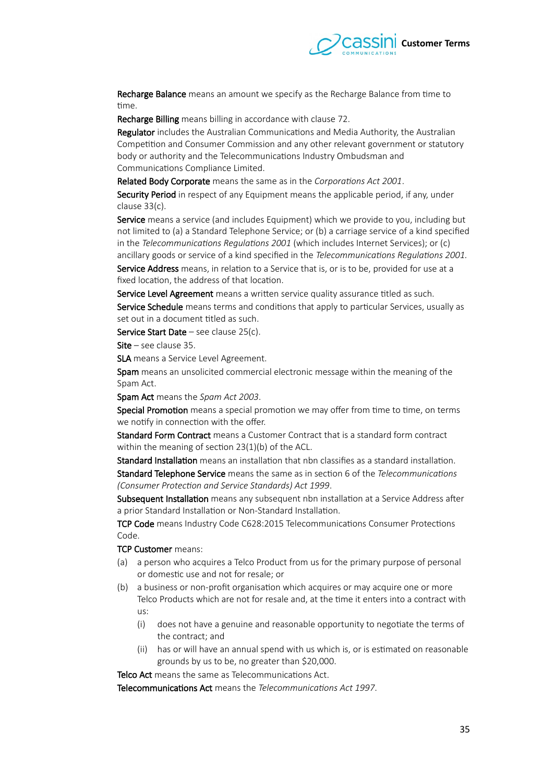

Recharge Balance means an amount we specify as the Recharge Balance from time to time.

Recharge Billing means billing in accordance with clause 72.

Regulator includes the Australian Communications and Media Authority, the Australian Competition and Consumer Commission and any other relevant government or statutory body or authority and the Telecommunications Industry Ombudsman and Communications Compliance Limited.

Related Body Corporate means the same as in the *Corporations Act 2001*.

Security Period in respect of any Equipment means the applicable period, if any, under clause [33](#page-6-0)[\(c\).](#page-6-1)

Service means a service (and includes Equipment) which we provide to you, including but not limited to (a) a Standard Telephone Service; or (b) a carriage service of a kind specifed in the *Telecommunications Regulations 2001* (which includes Internet Services); or (c) ancillary goods or service of a kind specified in the *Telecommunications Regulations 2001*.

Service Address means, in relation to a Service that is, or is to be, provided for use at a fxed location, the address of that location.

Service Level Agreement means a written service quality assurance titled as such. Service Schedule means terms and conditions that apply to particular Services, usually as set out in a document titled as such.

Service Start Date – see clause [25](#page-4-1)[\(c\).](#page-4-6)

 $Site - see clause 35.$  $Site - see clause 35.$ 

SLA means a Service Level Agreement.

Spam means an unsolicited commercial electronic message within the meaning of the Spam Act.

Spam Act means the *Spam Act 2003*.

Special Promotion means a special promotion we may offer from time to time, on terms we notify in connection with the offer.

Standard Form Contract means a Customer Contract that is a standard form contract within the meaning of section 23(1)(b) of the ACL.

Standard Installation means an installation that nbn classifes as a standard installation. Standard Telephone Service means the same as in section 6 of the *Telecommunications (Consumer Protection and Service Standards) Act 1999.* 

Subsequent Installation means any subsequent nbn installation at a Service Address after a prior Standard Installation or Non-Standard Installation.

TCP Code means Industry Code C628:2015 Telecommunications Consumer Protections Code.

TCP Customer means:

- (a) a person who acquires a Telco Product from us for the primary purpose of personal or domestic use and not for resale; or
- (b) a business or non-proft organisation which acquires or may acquire one or more Telco Products which are not for resale and, at the time it enters into a contract with us:
	- (i) does not have a genuine and reasonable opportunity to negotiate the terms of the contract; and
	- (ii) has or will have an annual spend with us which is, or is estimated on reasonable grounds by us to be, no greater than \$20,000.

Telco Act means the same as Telecommunications Act.

Telecommunications Act means the *Telecommunications Act 1997*.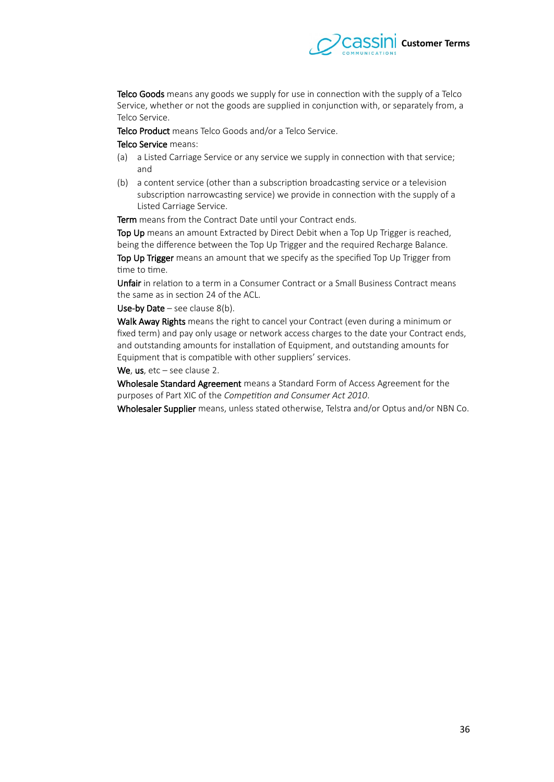

Telco Goods means any goods we supply for use in connection with the supply of a Telco Service, whether or not the goods are supplied in conjunction with, or separately from, a Telco Service.

Telco Product means Telco Goods and/or a Telco Service.

#### Telco Service means:

- (a) a Listed Carriage Service or any service we supply in connection with that service; and
- (b) a content service (other than a subscription broadcasting service or a television subscription narrowcasting service) we provide in connection with the supply of a Listed Carriage Service.

Term means from the Contract Date until your Contract ends.

Top Up means an amount Extracted by Direct Debit when a Top Up Trigger is reached, being the diference between the Top Up Trigger and the required Recharge Balance.

Top Up Trigger means an amount that we specify as the specified Top Up Trigger from time to time.

Unfair in relation to a term in a Consumer Contract or a Small Business Contract means the same as in section 24 of the ACL.

Use-by Date – see clause  $8(b)$ .

Walk Away Rights means the right to cancel your Contract (even during a minimum or fixed term) and pay only usage or network access charges to the date your Contract ends, and outstanding amounts for installation of Equipment, and outstanding amounts for Equipment that is compatible with other suppliers' services.

We, us, etc - see clause [2.](#page-0-1)

Wholesale Standard Agreement means a Standard Form of Access Agreement for the purposes of Part XIC of the *Competition and Consumer Act 2010*.

Wholesaler Supplier means, unless stated otherwise, Telstra and/or Optus and/or NBN Co.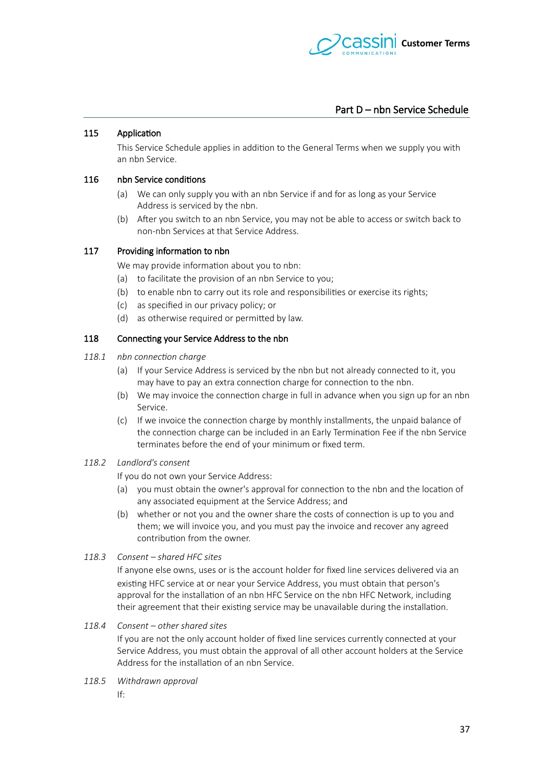

# Part D – nbn Service Schedule

#### 115 Application

This Service Schedule applies in addition to the General Terms when we supply you with an nbn Service.

#### 116 nbn Service conditions

- (a) We can only supply you with an nbn Service if and for as long as your Service Address is serviced by the nbn.
- (b) Afer you switch to an nbn Service, you may not be able to access or switch back to non-nbn Services at that Service Address.

## 117 Providing information to nbn

We may provide information about you to nbn:

- (a) to facilitate the provision of an nbn Service to you;
- (b) to enable nbn to carry out its role and responsibilities or exercise its rights;
- (c) as specifed in our privacy policy; or
- (d) as otherwise required or permited by law.

#### 118 Connecting your Service Address to the nbn

- 118.1 *nbn connection charge* 
	- (a) If your Service Address is serviced by the nbn but not already connected to it, you may have to pay an extra connection charge for connection to the nbn.
	- (b) We may invoice the connection charge in full in advance when you sign up for an nbn Service.
	- (c) If we invoice the connection charge by monthly installments, the unpaid balance of the connection charge can be included in an Early Termination Fee if the nbn Service terminates before the end of your minimum or fxed term.

# 118.2 **Landlord's consent**

If you do not own your Service Address:

- (a) you must obtain the owner's approval for connection to the nbn and the location of any associated equipment at the Service Address; and
- (b) whether or not you and the owner share the costs of connection is up to you and them; we will invoice you, and you must pay the invoice and recover any agreed contribution from the owner.

#### 118.3 Consent – shared HFC sites

If anyone else owns, uses or is the account holder for fxed line services delivered via an existing HFC service at or near your Service Address, you must obtain that person's approval for the installation of an nbn HFC Service on the nbn HFC Network, including their agreement that their existing service may be unavailable during the installation.

118.4 Consent – other shared sites

If you are not the only account holder of fxed line services currently connected at your Service Address, you must obtain the approval of all other account holders at the Service Address for the installation of an nbn Service.

- 118.5 Withdrawn approval
	- If: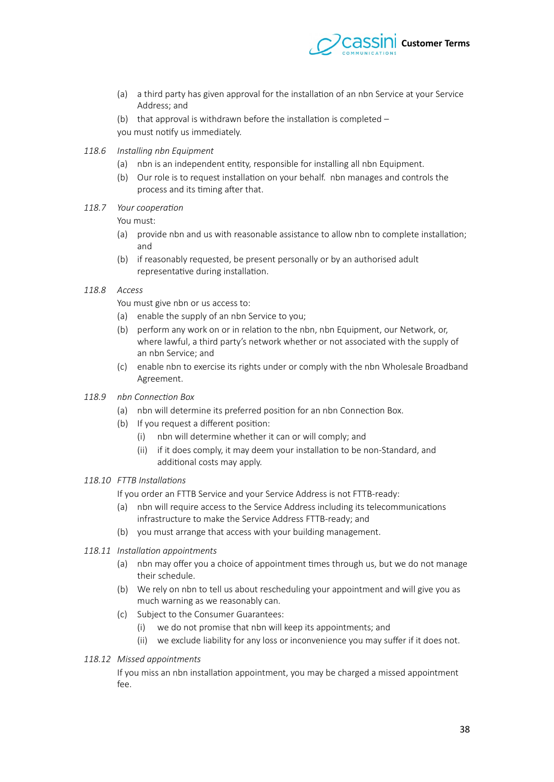

- (a) a third party has given approval for the installation of an nbn Service at your Service Address; and
- (b) that approval is withdrawn before the installation is completed  $$ you must notify us immediately.
- 118.6 Installing nbn Equipment
	- (a) nbn is an independent entity, responsible for installing all nbn Equipment.
	- (b) Our role is to request installation on your behalf. nbn manages and controls the process and its timing after that.
- 118.7 Your cooperation

You must:

- (a) provide nbn and us with reasonable assistance to allow nbn to complete installation; and
- (b) if reasonably requested, be present personally or by an authorised adult representative during installation.

#### 118.8 **Access**

<span id="page-37-0"></span>You must give nbn or us access to:

- (a) enable the supply of an nbn Service to you;
- (b) perform any work on or in relation to the nbn, nbn Equipment, our Network, or, where lawful, a third party's network whether or not associated with the supply of an nbn Service; and
- (c) enable nbn to exercise its rights under or comply with the nbn Wholesale Broadband Agreement.
- 118.9 *nbn Connection Box* 
	- (a) nbn will determine its preferred position for an nbn Connection Box.
	- (b) If you request a diferent position:
		- (i) nbn will determine whether it can or will comply; and
		- (ii) if it does comply, it may deem your installation to be non-Standard, and additional costs may apply.

#### 118.10 FTTB Installations

If you order an FTTB Service and your Service Address is not FTTB-ready:

- (a) nbn will require access to the Service Address including its telecommunications infrastructure to make the Service Address FTTB-ready; and
- (b) you must arrange that access with your building management.
- 118.11 Installation appointments
	- (a) nbn may ofer you a choice of appointment times through us, but we do not manage their schedule.
	- (b) We rely on nbn to tell us about rescheduling your appointment and will give you as much warning as we reasonably can.
	- (c) Subject to the Consumer Guarantees:
		- (i) we do not promise that nbn will keep its appointments; and
		- (ii) we exclude liability for any loss or inconvenience you may sufer if it does not.
- 118.12 Missed appointments

If you miss an nbn installation appointment, you may be charged a missed appointment  $f_{\rho\rho}$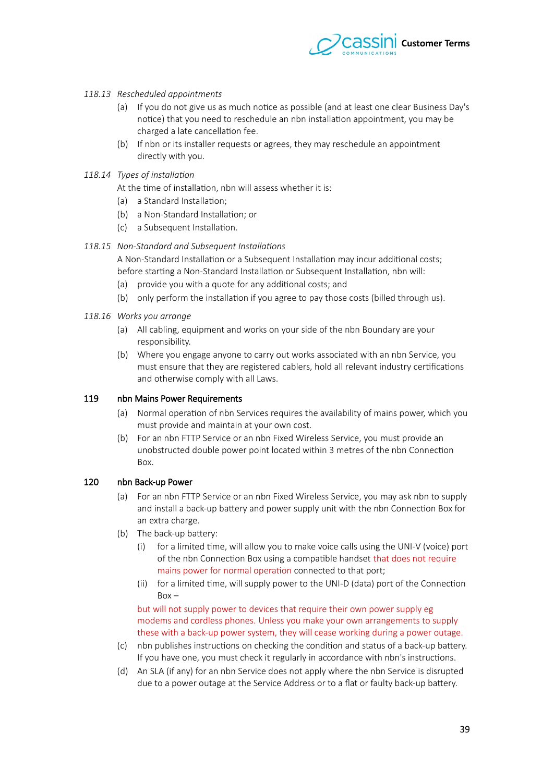

## 118.13 Rescheduled appointments

- (a) If you do not give us as much notice as possible (and at least one clear Business Day's notice) that you need to reschedule an nbn installation appointment, you may be charged a late cancellation fee.
- (b) If nbn or its installer requests or agrees, they may reschedule an appointment directly with you.

#### 118.14 Types of installation

At the time of installation, nbn will assess whether it is:

- (a) a Standard Installation;
- (b) a Non-Standard Installation; or
- (c) a Subsequent Installation.

#### 118.15 Non-Standard and Subsequent Installations

A Non-Standard Installation or a Subsequent Installation may incur additional costs; before starting a Non-Standard Installation or Subsequent Installation, nbn will:

- (a) provide you with a quote for any additional costs; and
- (b) only perform the installation if you agree to pay those costs (billed through us).
- 118.16 Works you arrange
	- (a) All cabling, equipment and works on your side of the nbn Boundary are your responsibility.
	- (b) Where you engage anyone to carry out works associated with an nbn Service, you must ensure that they are registered cablers, hold all relevant industry certifcations and otherwise comply with all Laws.

#### 119 nbn Mains Power Requirements

- (a) Normal operation of nbn Services requires the availability of mains power, which you must provide and maintain at your own cost.
- (b) For an nbn FTTP Service or an nbn Fixed Wireless Service, you must provide an unobstructed double power point located within 3 metres of the nbn Connection Box.

#### 120 nbn Back-up Power

- (a) For an nbn FTTP Service or an nbn Fixed Wireless Service, you may ask nbn to supply and install a back-up batery and power supply unit with the nbn Connection Box for an extra charge.
- (b) The back-up battery:
	- (i) for a limited time, will allow you to make voice calls using the UNI-V (voice) port of the nbn Connection Box using a compatible handset that does not require mains power for normal operation connected to that port;
	- (ii) for a limited time, will supply power to the UNI-D (data) port of the Connection  $Box -$

but will not supply power to devices that require their own power supply eg modems and cordless phones. Unless you make your own arrangements to supply these with a back-up power system, they will cease working during a power outage.

- (c) nbn publishes instructions on checking the condition and status of a back-up batery. If you have one, you must check it regularly in accordance with nbn's instructions.
- (d) An SLA (if any) for an nbn Service does not apply where the nbn Service is disrupted due to a power outage at the Service Address or to a flat or faulty back-up battery.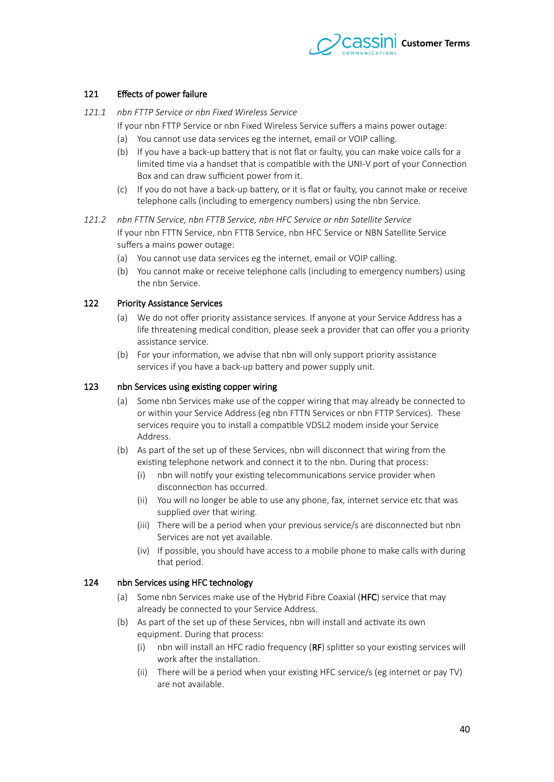

# 121 Effects of power failure

- 121.1 *nbn FTTP Service or nbn Fixed Wireless Service* 
	- If your nbn FTTP Service or nbn Fixed Wireless Service sufers a mains power outage:
		- (a) You cannot use data services eg the internet, email or VOIP calling.
		- (b) If you have a back-up battery that is not flat or faulty, you can make voice calls for a limited time via a handset that is compatible with the UNI-V port of your Connection Box and can draw sufficient power from it.
		- (c) If you do not have a back-up batery, or it is fat or faulty, you cannot make or receive telephone calls (including to emergency numbers) using the nbn Service.
- 121.2 *nbn FTTN Service, nbn FTTB Service, nbn HFC Service or nbn Satellite Service* If your nbn FTTN Service, nbn FTTB Service, nbn HFC Service or NBN Satellite Service suffers a mains power outage:
	- (a) You cannot use data services eg the internet, email or VOIP calling.
	- (b) You cannot make or receive telephone calls (including to emergency numbers) using the nbn Service.

## 122 Priority Assistance Services

- (a) We do not ofer priority assistance services. If anyone at your Service Address has a life threatening medical condition, please seek a provider that can offer you a priority assistance service.
- (b) For your information, we advise that nbn will only support priority assistance services if you have a back-up battery and power supply unit.

#### 123 nbn Services using existing copper wiring

- (a) Some nbn Services make use of the copper wiring that may already be connected to or within your Service Address (eg nbn FTTN Services or nbn FTTP Services). These services require you to install a compatible VDSL2 modem inside your Service Address.
- (b) As part of the set up of these Services, nbn will disconnect that wiring from the existing telephone network and connect it to the nbn. During that process:
	- (i) nbn will notify your existing telecommunications service provider when disconnection has occurred.
	- (ii) You will no longer be able to use any phone, fax, internet service etc that was supplied over that wiring.
	- (iii) There will be a period when your previous service/s are disconnected but nbn Services are not yet available.
	- (iv) If possible, you should have access to a mobile phone to make calls with during that period.

#### 124 nbn Services using HFC technology

- (a) Some nbn Services make use of the Hybrid Fibre Coaxial (HFC) service that may already be connected to your Service Address.
- (b) As part of the set up of these Services, nbn will install and activate its own equipment. During that process:
	- (i) nbn will install an HFC radio frequency (RF) spliter so your existing services will work after the installation.
	- (ii) There will be a period when your existing HFC service/s (eg internet or pay TV) are not available.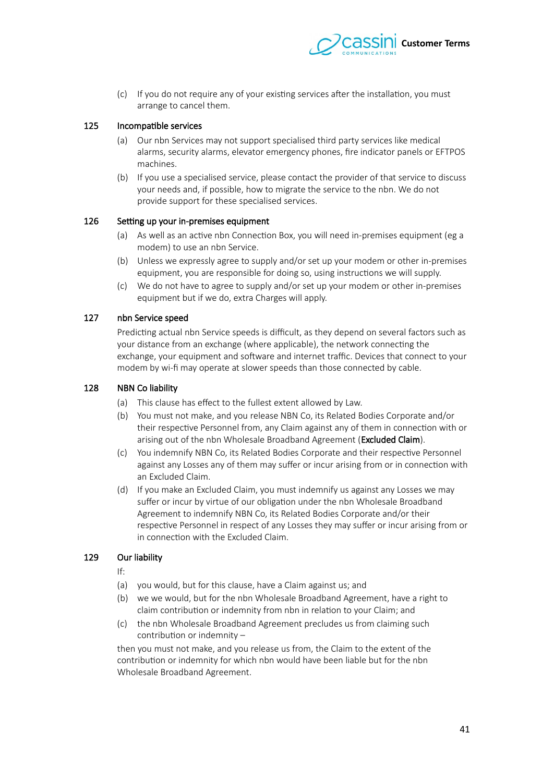

(c) If you do not require any of your existing services afer the installation, you must arrange to cancel them.

#### 125 Incompatible services

- (a) Our nbn Services may not support specialised third party services like medical alarms, security alarms, elevator emergency phones, fre indicator panels or EFTPOS machines.
- (b) If you use a specialised service, please contact the provider of that service to discuss your needs and, if possible, how to migrate the service to the nbn. We do not provide support for these specialised services.

#### 126 Setting up your in-premises equipment

- (a) As well as an active nbn Connection Box, you will need in-premises equipment (eg a modem) to use an nbn Service.
- (b) Unless we expressly agree to supply and/or set up your modem or other in-premises equipment, you are responsible for doing so, using instructions we will supply.
- (c) We do not have to agree to supply and/or set up your modem or other in-premises equipment but if we do, extra Charges will apply.

#### 127 nbn Service speed

Predicting actual nbn Service speeds is difficult, as they depend on several factors such as your distance from an exchange (where applicable), the network connecting the exchange, your equipment and software and internet traffic. Devices that connect to your modem by wi-fi may operate at slower speeds than those connected by cable.

#### 128 NBN Co liability

- (a) This clause has efect to the fullest extent allowed by Law.
- (b) You must not make, and you release NBN Co, its Related Bodies Corporate and/or their respective Personnel from, any Claim against any of them in connection with or arising out of the nbn Wholesale Broadband Agreement (**Excluded Claim**).
- (c) You indemnify NBN Co, its Related Bodies Corporate and their respective Personnel against any Losses any of them may suffer or incur arising from or in connection with an Excluded Claim.
- (d) If you make an Excluded Claim, you must indemnify us against any Losses we may suffer or incur by virtue of our obligation under the nbn Wholesale Broadband Agreement to indemnify NBN Co, its Related Bodies Corporate and/or their respective Personnel in respect of any Losses they may sufer or incur arising from or in connection with the Excluded Claim.

# 129 Our liability

If:

- (a) you would, but for this clause, have a Claim against us; and
- (b) we we would, but for the nbn Wholesale Broadband Agreement, have a right to claim contribution or indemnity from nbn in relation to your Claim; and
- (c) the nbn Wholesale Broadband Agreement precludes us from claiming such contribution or indemnity –

then you must not make, and you release us from, the Claim to the extent of the contribution or indemnity for which nbn would have been liable but for the nbn Wholesale Broadband Agreement.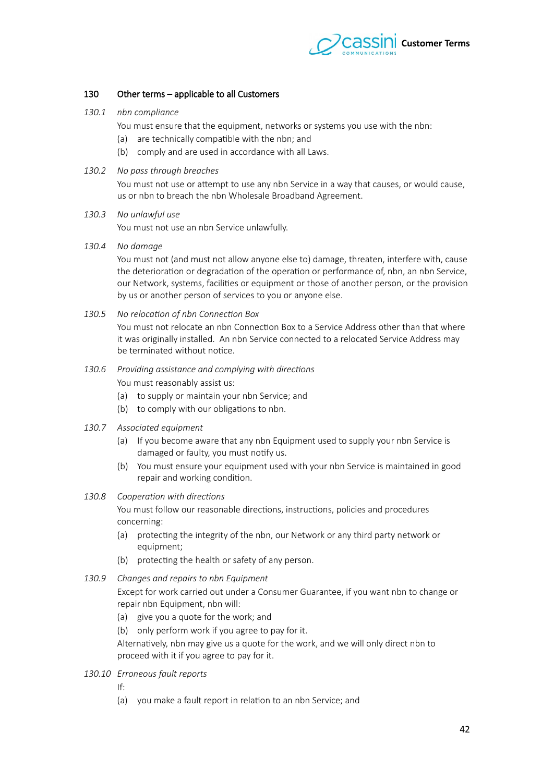

# 130 Other terms – applicable to all Customers

- 130.1 *nbn compliance* 
	- You must ensure that the equipment, networks or systems you use with the nbn:
	- (a) are technically compatible with the nbn; and
	- (b) comply and are used in accordance with all Laws.

#### 130.2 No pass through breaches

<span id="page-41-3"></span>You must not use or attempt to use any nbn Service in a way that causes, or would cause, us or nbn to breach the nbn Wholesale Broadband Agreement.

#### 130.3 No unlawful use

<span id="page-41-2"></span>You must not use an nbn Service unlawfully.

*130.4 Ni damagt*

<span id="page-41-1"></span>You must not (and must not allow anyone else to) damage, threaten, interfere with, cause the deterioration or degradation of the operation or performance of, nbn, an nbn Service, our Network, systems, facilities or equipment or those of another person, or the provision by us or another person of services to you or anyone else.

130.5 No relocation of nbn Connection Box

You must not relocate an nbn Connection Box to a Service Address other than that where it was originally installed. An nbn Service connected to a relocated Service Address may be terminated without notice.

- <span id="page-41-0"></span>130.6 Providing assistance and complying with directions You must reasonably assist us:
	- (a) to supply or maintain your nbn Service; and
	- (b) to comply with our obligations to nbn.
- 130.7 Associated equipment
	- (a) If you become aware that any nbn Equipment used to supply your nbn Service is damaged or faulty, you must notify us.
	- (b) You must ensure your equipment used with your nbn Service is maintained in good repair and working condition.

#### 130.8 Cooperation with directions

You must follow our reasonable directions, instructions, policies and procedures concerning:

- (a) protecting the integrity of the nbn, our Network or any third party network or equipment;
- (b) protecting the health or safety of any person.
- 130.9 Changes and repairs to nbn Equipment

Except for work carried out under a Consumer Guarantee, if you want nbn to change or repair nbn Equipment, nbn will:

- (a) give you a quote for the work; and
- (b) only perform work if you agree to pay for it.

Alternatively, nbn may give us a quote for the work, and we will only direct nbn to proceed with it if you agree to pay for it.

130.10 **Erroneous fault reports** 

If:

(a) you make a fault report in relation to an nbn Service; and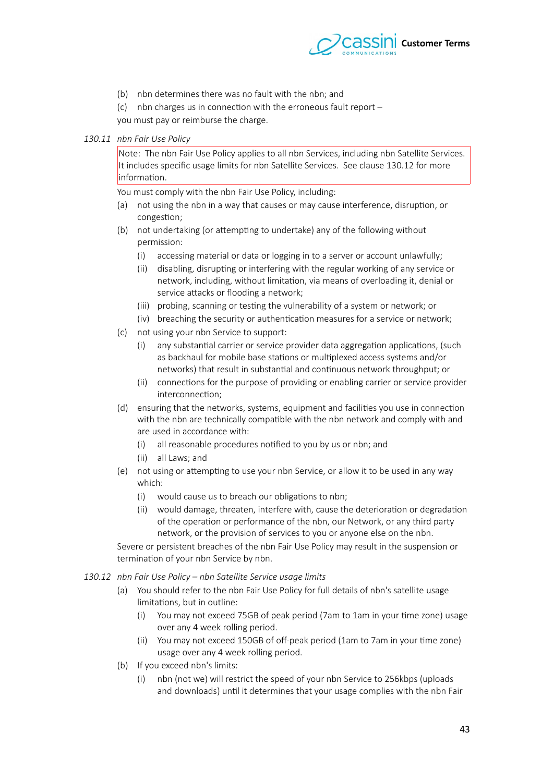

(b) nbn determines there was no fault with the nbn; and

(c) nbn charges us in connection with the erroneous fault report – you must pay or reimburse the charge.

#### 130.11 nbn Fair Use Policy

<span id="page-42-1"></span>Note: The nbn Fair Use Policy applies to all nbn Services, including nbn Satellite Services. It includes specifc usage limits for nbn Satellite Services. See clause [130.12](#page-42-0) for more information.

You must comply with the nbn Fair Use Policy, including:

- (a) not using the nbn in a way that causes or may cause interference, disruption, or congestion;
- (b) not undertaking (or atempting to undertake) any of the following without permission:
	- (i) accessing material or data or logging in to a server or account unlawfully;
	- (ii) disabling, disrupting or interfering with the regular working of any service or network, including, without limitation, via means of overloading it, denial or service attacks or flooding a network;
	- (iii) probing, scanning or testing the vulnerability of a system or network; or
	- (iv) breaching the security or authentication measures for a service or network;
- (c) not using your nbn Service to support:
	- (i) any substantial carrier or service provider data aggregation applications, (such as backhaul for mobile base stations or multiplexed access systems and/or networks) that result in substantial and continuous network throughput; or
	- (ii) connections for the purpose of providing or enabling carrier or service provider interconnection;
- (d) ensuring that the networks, systems, equipment and facilities you use in connection with the nbn are technically compatible with the nbn network and comply with and are used in accordance with:
	- (i) all reasonable procedures notifed to you by us or nbn; and
	- (ii) all Laws; and
- (e) not using or atempting to use your nbn Service, or allow it to be used in any way which:
	- (i) would cause us to breach our obligations to nbn;
	- (ii) would damage, threaten, interfere with, cause the deterioration or degradation of the operation or performance of the nbn, our Network, or any third party network, or the provision of services to you or anyone else on the nbn.

<span id="page-42-0"></span>Severe or persistent breaches of the nbn Fair Use Policy may result in the suspension or termination of your nbn Service by nbn.

- 130.12 nbn Fair Use Policy nbn Satellite Service usage limits
	- (a) You should refer to the nbn Fair Use Policy for full details of nbn's satellite usage limitations, but in outline:
		- (i) You may not exceed 75GB of peak period (7am to 1am in your time zone) usage over any 4 week rolling period.
		- (ii) You may not exceed 150GB of off-peak period (1am to 7am in your time zone) usage over any 4 week rolling period.
	- (b) If you exceed nbn's limits:
		- (i) nbn (not we) will restrict the speed of your nbn Service to 256kbps (uploads and downloads) until it determines that your usage complies with the nbn Fair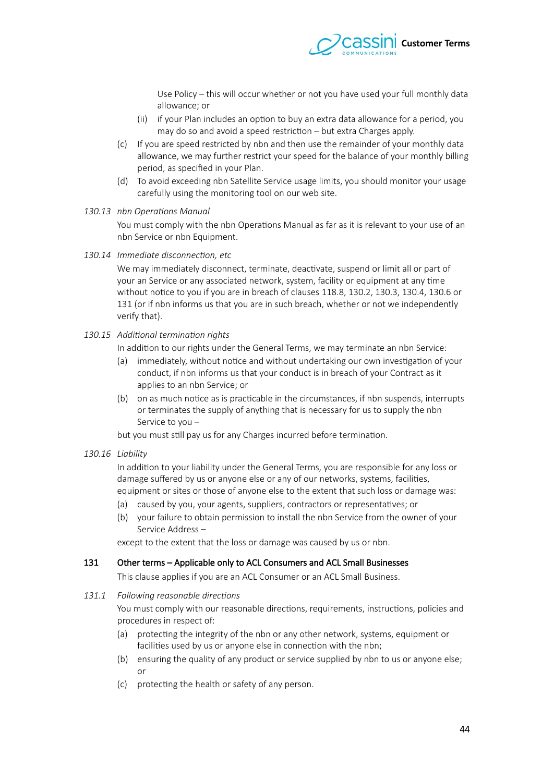

Use Policy – this will occur whether or not you have used your full monthly data allowance; or

- (ii) if your Plan includes an option to buy an extra data allowance for a period, you may do so and avoid a speed restriction – but extra Charges apply.
- (c) If you are speed restricted by nbn and then use the remainder of your monthly data allowance, we may further restrict your speed for the balance of your monthly billing period, as specifed in your Plan.
- (d) To avoid exceeding nbn Satellite Service usage limits, you should monitor your usage carefully using the monitoring tool on our web site.
- 130.13 nbn Operations Manual

You must comply with the nbn Operations Manual as far as it is relevant to your use of an nbn Service or nbn Equipment.

130.14 *Immediate disconnection, etc* 

We may immediately disconnect, terminate, deactivate, suspend or limit all or part of your an Service or any associated network, system, facility or equipment at any time without notice to you if you are in breach of clauses [118.8,](#page-37-0) [130.2,](#page-41-3) [130.3,](#page-41-2) 130.4, [130.6](#page-41-0) o[r](#page-43-0) [131](#page-43-0) (or if nbn informs us that you are in such breach, whether or not we independently verify that).

130.15 Additional termination rights

In addition to our rights under the General Terms, we may terminate an nbn Service:

- (a) immediately, without notice and without undertaking our own investigation of your conduct, if nbn informs us that your conduct is in breach of your Contract as it applies to an nbn Service; or
- (b) on as much notice as is practicable in the circumstances, if nbn suspends, interrupts or terminates the supply of anything that is necessary for us to supply the nbn Service to you –

but you must still pay us for any Charges incurred before termination.

*130.16 Liabilit* 

In addition to your liability under the General Terms, you are responsible for any loss or damage sufered by us or anyone else or any of our networks, systems, facilities, equipment or sites or those of anyone else to the extent that such loss or damage was:

- (a) caused by you, your agents, suppliers, contractors or representatives; or
- (b) your failure to obtain permission to install the nbn Service from the owner of your Service Address –

except to the extent that the loss or damage was caused by us or nbn.

#### 131 Other terms – Applicable only to ACL Consumers and ACL Small Businesses

<span id="page-43-0"></span>This clause applies if you are an ACL Consumer or an ACL Small Business.

131.1 Following reasonable directions

You must comply with our reasonable directions, requirements, instructions, policies and procedures in respect of:

- (a) protecting the integrity of the nbn or any other network, systems, equipment or facilities used by us or anyone else in connection with the nbn;
- (b) ensuring the quality of any product or service supplied by nbn to us or anyone else; or
- (c) protecting the health or safety of any person.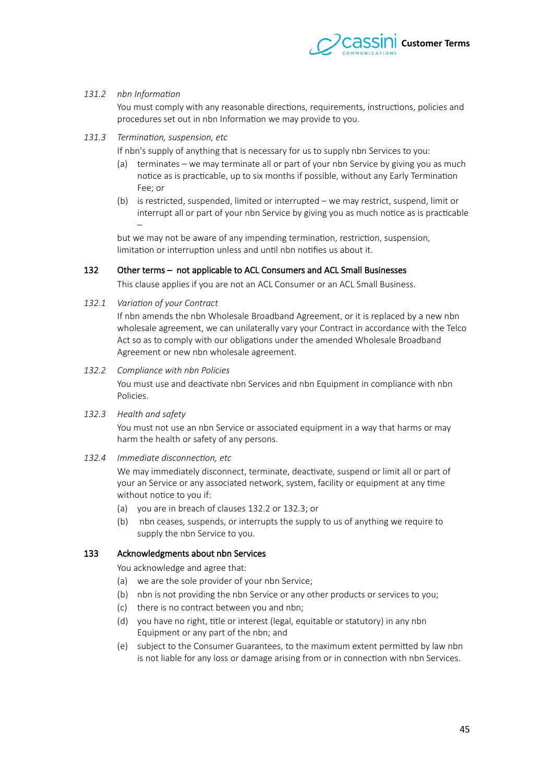

### 131.2 *nbn Information*

You must comply with any reasonable directions, requirements, instructions, policies and procedures set out in nbn Information we may provide to you.

#### 131.3 Termination, suspension, etc

If nbn's supply of anything that is necessary for us to supply nbn Services to you:

- (a) terminates we may terminate all or part of your nbn Service by giving you as much notice as is practicable, up to six months if possible, without any Early Termination Fee; or
- (b) is restricted, suspended, limited or interrupted we may restrict, suspend, limit or interrupt all or part of your nbn Service by giving you as much notice as is practicable –

but we may not be aware of any impending termination, restriction, suspension, limitation or interruption unless and until nbn notifes us about it.

# 132 Other terms – not applicable to ACL Consumers and ACL Small Businesses

This clause applies if you are not an ACL Consumer or an ACL Small Business.

132.1 Variation of your Contract

If nbn amends the nbn Wholesale Broadband Agreement, or it is replaced by a new nbn wholesale agreement, we can unilaterally vary your Contract in accordance with the Telco Act so as to comply with our obligations under the amended Wholesale Broadband Agreement or new nbn wholesale agreement.

#### 132.2 Compliance with nbn Policies

<span id="page-44-1"></span>You must use and deactivate nbn Services and nbn Equipment in compliance with nbn Policies.

132.3 *Health and safety* 

<span id="page-44-0"></span>You must not use an nbn Service or associated equipment in a way that harms or may harm the health or safety of any persons.

132.4 *Immediate disconnection, etc* 

We may immediately disconnect, terminate, deactivate, suspend or limit all or part of your an Service or any associated network, system, facility or equipment at any time without notice to you if:

- (a) you are in breach of clauses [132.2](#page-44-1) or [132.3;](#page-44-0) or
- (b) nbn ceases, suspends, or interrupts the supply to us of anything we require to supply the nbn Service to you.

# 133 Acknowledgments about nbn Services

You acknowledge and agree that:

- (a) we are the sole provider of your nbn Service;
- (b) nbn is not providing the nbn Service or any other products or services to you;
- (c) there is no contract between you and nbn;
- (d) you have no right, title or interest (legal, equitable or statutory) in any nbn Equipment or any part of the nbn; and
- (e) subject to the Consumer Guarantees, to the maximum extent permited by law nbn is not liable for any loss or damage arising from or in connection with nbn Services.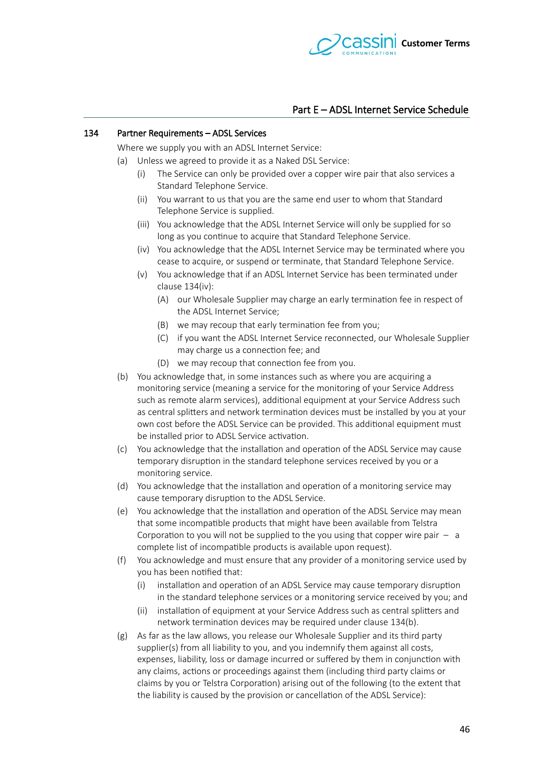

# Part E – ADSL Internet Service Schedule

#### 134 Partner Requirements - ADSL Services

<span id="page-45-1"></span>Where we supply you with an ADSL Internet Service:

- <span id="page-45-2"></span>(a) Unless we agreed to provide it as a Naked DSL Service:
	- (i) The Service can only be provided over a copper wire pair that also services a Standard Telephone Service.
	- (ii) You warrant to us that you are the same end user to whom that Standard Telephone Service is supplied.
	- (iii) You acknowledge that the ADSL Internet Service will only be supplied for so long as you continue to acquire that Standard Telephone Service.
	- (iv) You acknowledge that the ADSL Internet Service may be terminated where you cease to acquire, or suspend or terminate, that Standard Telephone Service.
	- (v) You acknowledge that if an ADSL Internet Service has been terminated under  $clause 134(iv):$  $clause 134(iv):$ 
		- (A) our Wholesale Supplier may charge an early termination fee in respect of the ADSL Internet Service;
		- (B) we may recoup that early termination fee from you;
		- (C) if you want the ADSL Internet Service reconnected, our Wholesale Supplier may charge us a connection fee; and
		- (D) we may recoup that connection fee from you.
- <span id="page-45-0"></span>(b) You acknowledge that, in some instances such as where you are acquiring a monitoring service (meaning a service for the monitoring of your Service Address such as remote alarm services), additional equipment at your Service Address such as central spliters and network termination devices must be installed by you at your own cost before the ADSL Service can be provided. This additional equipment must be installed prior to ADSL Service activation.
- (c) You acknowledge that the installation and operation of the ADSL Service may cause temporary disruption in the standard telephone services received by you or a monitoring service.
- (d) You acknowledge that the installation and operation of a monitoring service may cause temporary disruption to the ADSL Service.
- (e) You acknowledge that the installation and operation of the ADSL Service may mean that some incompatible products that might have been available from Telstra Corporation to you will not be supplied to the you using that copper wire pair  $-$  a complete list of incompatible products is available upon request).
- (f) You acknowledge and must ensure that any provider of a monitoring service used by you has been notifed that:
	- (i) installation and operation of an ADSL Service may cause temporary disruption in the standard telephone services or a monitoring service received by you; and
	- (ii) installation of equipment at your Service Address such as central spliters and network termination devices may be required under clause 134[\(b\).](#page-45-0)
- (g) As far as the law allows, you release our Wholesale Supplier and its third party supplier(s) from all liability to you, and you indemnify them against all costs, expenses, liability, loss or damage incurred or sufered by them in conjunction with any claims, actions or proceedings against them (including third party claims or claims by you or Telstra Corporation) arising out of the following (to the extent that the liability is caused by the provision or cancellation of the ADSL Service):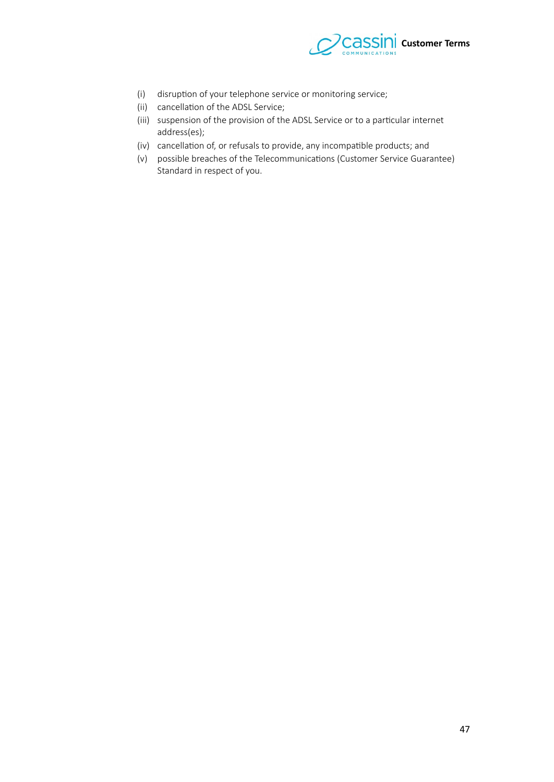

- (i) disruption of your telephone service or monitoring service;
- (ii) cancellation of the ADSL Service;
- (iii) suspension of the provision of the ADSL Service or to a particular internet address(es);
- (iv) cancellation of, or refusals to provide, any incompatible products; and
- (v) possible breaches of the Telecommunications (Customer Service Guarantee) Standard in respect of you.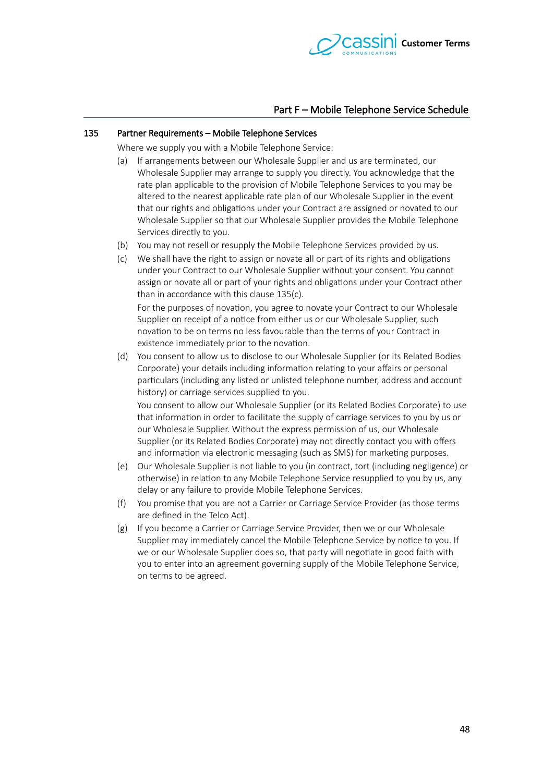

# Part F – Mobile Telephone Service Schedule

#### 135 Partner Requirements – Mobile Telephone Services

<span id="page-47-1"></span>Where we supply you with a Mobile Telephone Service:

- (a) If arrangements between our Wholesale Supplier and us are terminated, our Wholesale Supplier may arrange to supply you directly. You acknowledge that the rate plan applicable to the provision of Mobile Telephone Services to you may be altered to the nearest applicable rate plan of our Wholesale Supplier in the event that our rights and obligations under your Contract are assigned or novated to our Wholesale Supplier so that our Wholesale Supplier provides the Mobile Telephone Services directly to you.
- (b) You may not resell or resupply the Mobile Telephone Services provided by us.
- <span id="page-47-0"></span>(c) We shall have the right to assign or novate all or part of its rights and obligations under your Contract to our Wholesale Supplier without your consent. You cannot assign or novate all or part of your rights and obligations under your Contract other than in accordance with this clause [135](#page-47-1)[\(c\).](#page-47-0)

For the purposes of novation, you agree to novate your Contract to our Wholesale Supplier on receipt of a notice from either us or our Wholesale Supplier, such novation to be on terms no less favourable than the terms of your Contract in existence immediately prior to the novation.

(d) You consent to allow us to disclose to our Wholesale Supplier (or its Related Bodies Corporate) your details including information relating to your affairs or personal particulars (including any listed or unlisted telephone number, address and account history) or carriage services supplied to you.

You consent to allow our Wholesale Supplier (or its Related Bodies Corporate) to use that information in order to facilitate the supply of carriage services to you by us or our Wholesale Supplier. Without the express permission of us, our Wholesale Supplier (or its Related Bodies Corporate) may not directly contact you with ofers and information via electronic messaging (such as SMS) for marketing purposes.

- (e) Our Wholesale Supplier is not liable to you (in contract, tort (including negligence) or otherwise) in relation to any Mobile Telephone Service resupplied to you by us, any delay or any failure to provide Mobile Telephone Services.
- (f) You promise that you are not a Carrier or Carriage Service Provider (as those terms are defned in the Telco Act).
- (g) If you become a Carrier or Carriage Service Provider, then we or our Wholesale Supplier may immediately cancel the Mobile Telephone Service by notice to you. If we or our Wholesale Supplier does so, that party will negotiate in good faith with you to enter into an agreement governing supply of the Mobile Telephone Service, on terms to be agreed.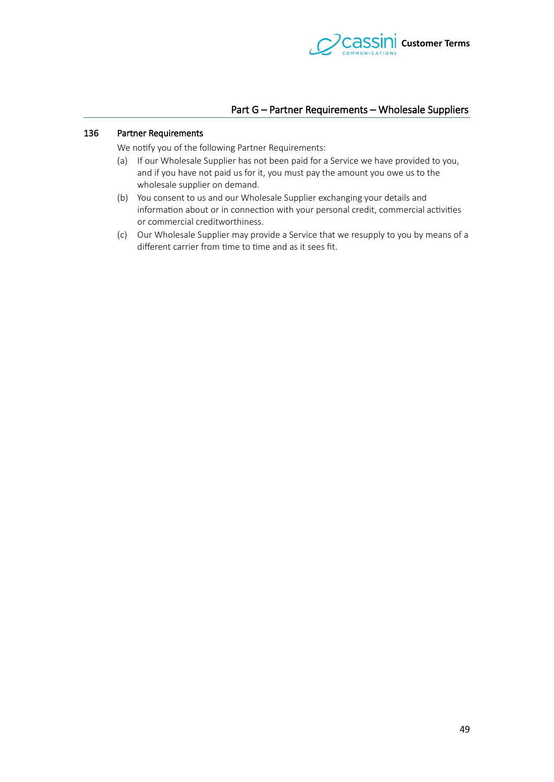

# Part G – Partner Requirements – Wholesale Suppliers

#### 136 Partner Requirements

We notify you of the following Partner Requirements:

- (a) If our Wholesale Supplier has not been paid for a Service we have provided to you, and if you have not paid us for it, you must pay the amount you owe us to the wholesale supplier on demand.
- (b) You consent to us and our Wholesale Supplier exchanging your details and information about or in connection with your personal credit, commercial activities or commercial creditworthiness.
- (c) Our Wholesale Supplier may provide a Service that we resupply to you by means of a different carrier from time to time and as it sees fit.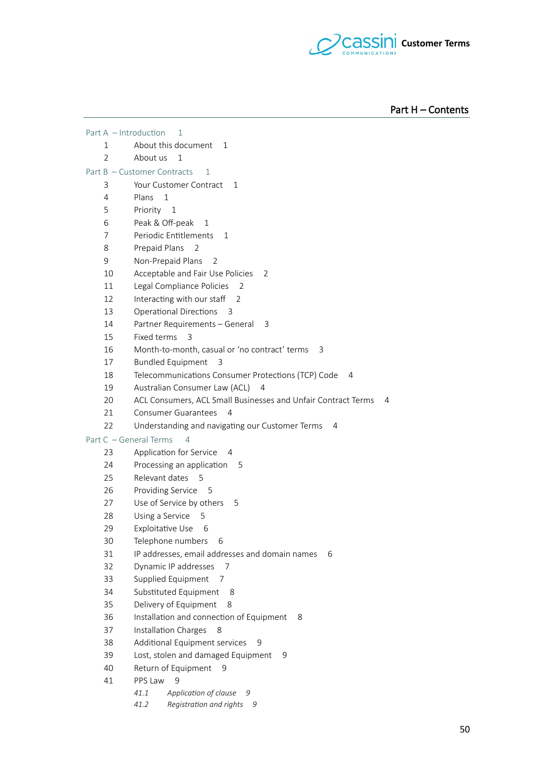

Part H – Contents

|                                                            | Part A - Introduction<br>1                                            |  |  |
|------------------------------------------------------------|-----------------------------------------------------------------------|--|--|
| 1                                                          | About this document<br>1                                              |  |  |
| $\overline{2}$                                             | About us<br>1                                                         |  |  |
| Part B - Customer Contracts<br>1                           |                                                                       |  |  |
| 3                                                          | Your Customer Contract<br>1                                           |  |  |
| 4                                                          | Plans<br>$\mathbf{1}$                                                 |  |  |
| 5                                                          | Priority<br>$\mathbf{1}$                                              |  |  |
| 6                                                          | Peak & Off-peak<br>1                                                  |  |  |
| 7                                                          | Periodic Entitlements<br>1                                            |  |  |
| 8                                                          | Prepaid Plans<br>2                                                    |  |  |
| 9                                                          | Non-Prepaid Plans<br>2                                                |  |  |
| 10                                                         | Acceptable and Fair Use Policies<br>2                                 |  |  |
| 11                                                         | Legal Compliance Policies<br>2                                        |  |  |
| 12                                                         | Interacting with our staff<br>2                                       |  |  |
| 13                                                         | Operational Directions<br>3                                           |  |  |
| 14                                                         | Partner Requirements - General<br>3                                   |  |  |
| 15                                                         | Fixed terms<br>3                                                      |  |  |
| 16                                                         | Month-to-month, casual or 'no contract' terms<br>3                    |  |  |
| 17                                                         | <b>Bundled Equipment</b><br>- 3                                       |  |  |
| 18                                                         | Telecommunications Consumer Protections (TCP) Code<br>4               |  |  |
| 19                                                         | Australian Consumer Law (ACL)<br>4                                    |  |  |
| 20                                                         | ACL Consumers, ACL Small Businesses and Unfair Contract Terms<br>4    |  |  |
| 21                                                         | <b>Consumer Guarantees</b><br>$\overline{A}$                          |  |  |
| 22<br>Understanding and navigating our Customer Terms<br>4 |                                                                       |  |  |
| Part C - General Terms<br>$\overline{4}$                   |                                                                       |  |  |
| 23                                                         | Application for Service<br>- 4                                        |  |  |
| 24                                                         | Processing an application<br>5                                        |  |  |
| 25                                                         | Relevant dates 5                                                      |  |  |
| 26                                                         | Providing Service<br>-5                                               |  |  |
| 27                                                         | Use of Service by others<br>5                                         |  |  |
| 28                                                         | Using a Service<br>5                                                  |  |  |
| 29                                                         | Exploitative Use<br>- 6                                               |  |  |
| 30                                                         | Telephone numbers 6                                                   |  |  |
| 31                                                         | IP addresses, email addresses and domain names<br>6                   |  |  |
| 32                                                         | Dynamic IP addresses<br>7                                             |  |  |
| 33                                                         | Supplied Equipment<br>7                                               |  |  |
| 34                                                         | Substituted Equipment<br>8                                            |  |  |
| 35                                                         | Delivery of Equipment<br>8                                            |  |  |
| 36                                                         | Installation and connection of Equipment<br>8                         |  |  |
| 37                                                         | Installation Charges<br>8                                             |  |  |
| 38                                                         | Additional Equipment services<br>9                                    |  |  |
| 39                                                         | Lost, stolen and damaged Equipment<br>9                               |  |  |
| 40                                                         | Return of Equipment<br>9                                              |  |  |
| 41                                                         | PPS Law<br>9<br>9                                                     |  |  |
|                                                            | Application of clause<br>41.1<br>Registration and rights<br>41.2<br>9 |  |  |
|                                                            |                                                                       |  |  |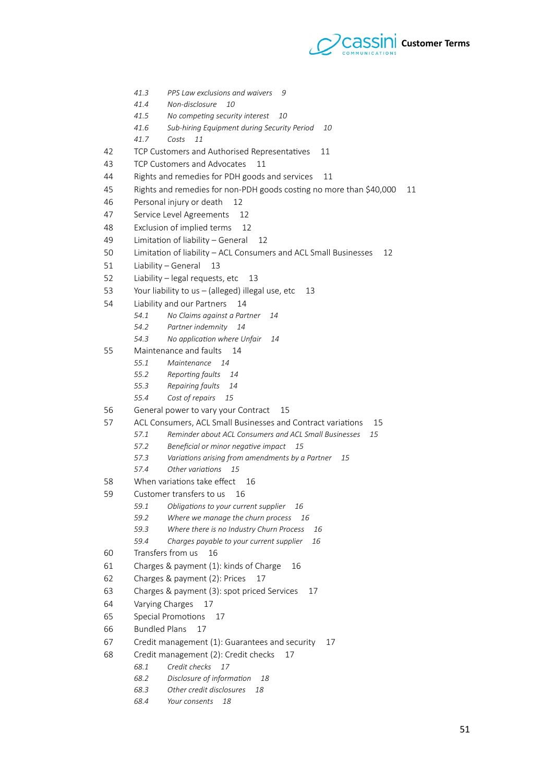

- *41.3* PPS Law exclusions and waivers 9
- 41.4 Non-disclosure 10
- 41.5 No competing security interest 10
- 41.6 Sub-hiring Equipment during Security Period 10
- *41.7 Ciete 11*
- 42 TCP Customers and Authorised Representatives 11
- 3 TCP Customers and Advocates 11
- 44 Rights and remedies for PDH goods and services 11
- 45 Rights and remedies for non-PDH goods costing no more than \$40,000 11
- 6 Personal injury or death 12
- 47 Service Level Agreements 12
- 8 Exclusion of implied terms 12
- 7 Limitation of liability General 12
- 50 Limitation of liability ACL Consumers and ACL Small Businesses 12
- 51 Liability General 13
- 52 Liability legal requests, etc 13
- 53 Your liability to us (alleged) illegal use, etc 13
- 54 Liability and our Partners 14
	- 54.1 No Claims against a Partner 14
		- 54.2 Partner indemnity 14
		- 54.3 No application where Unfair 14
- 55 Maintenance and faults 1
	- *55.1 Mainttnanct 14*
	- 55.2 Reporting faults 14
	- 55.3 Repairing faults 14
	- 55.4 Cost of repairs 15
- 56 General power to vary your Contract 15
- 57 ACL Consumers, ACL Small Businesses and Contract variations 15
	- 57.1 Reminder about ACL Consumers and ACL Small Businesses 15
		- 57.2 Beneficial or minor negative impact 15
		- 57.3 Variations arising from amendments by a Partner 15
		- 57.4 Other variations 15
- 58 When variations take efect 16
- 59 Customer transfers to us 16
	- 59.1 Obligations to your current supplier 16
	- 59.2 Where we manage the churn process 16
	- 59.3 Where there is no Industry Churn Process 16
	- 59.4 Charges payable to your current supplier 16
- 60 Transfers from us 16
- 61 Charges & payment (1): kinds of Charge 16
- 62 Charges & payment (2): Prices 14
- 63 Charges & payment (3): spot priced Services 17
- 64 Varying Charges 17
- 65 Special Promotions 17
- 66 Bundled Plans 17
- 67 Credit management (1): Guarantees and security 17
- 68 Credit management (2): Credit checks 14
	- 68.1 Credit checks 17
	- *68.2 Diecliesrt if infirmatin 18*
	- 68.3 Other credit disclosures 18
	- 68.4 Your consents 18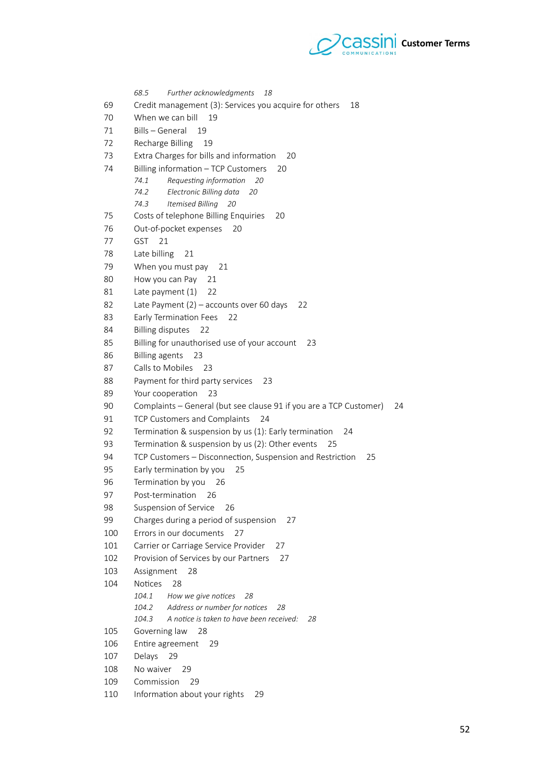

68.5 Further acknowledgments 18 67 Credit management (3): Services you acquire for others 18 70 When we can bill 19 71 Bills – General 19 72 Recharge Billing 19 73 Extra Charges for bills and information 20 74 Billing information – TCP Customers 20 74.1 Requesting information 20 74.2 Electronic Billing data 20 *74.3 Ittmietd Billing 20* 75 Costs of telephone Billing Enquiries 20 76 Out-of-pocket expenses 20 77 GST 21 78 Late billing 21 79 When you must pay 21 80 How you can Pay 21 81 Late payment (1) 22 82 Late Payment (2) – accounts over 60 days 22 83 Early Termination Fees 22 84 Billing disputes 22 85 Billing for unauthorised use of your account 23 86 Billing agents 23 87 Calls to Mobiles 23 88 Payment for third party services 23 89 Your cooperation 23 90 Complaints – General (but see clause 91 if you are a TCP Customer) 24 91 TCP Customers and Complaints 24 92 Termination & suspension by us (1): Early termination 24 93 Termination & suspension by us (2): Other events 25 94 TCP Customers – Disconnection, Suspension and Restriction 25 95 Early termination by you 25 96 Termination by you 26 97 Post-termination 26 98 Suspension of Service 26 99 Charges during a period of suspension 27 100 Errors in our documents 27 101 Carrier or Carriage Service Provider 27 102 Provision of Services by our Partners 27 103 Assignment 28 104 Notices 28 *104.1* How we give notices 28 104.2 Address or number for notices 28 104.3 A notice is taken to have been received: 28 105 Governing law 28 106 Entire agreement 29 107 Delays 29 108 No waiver 29 109 Commission 29 110 Information about your rights 29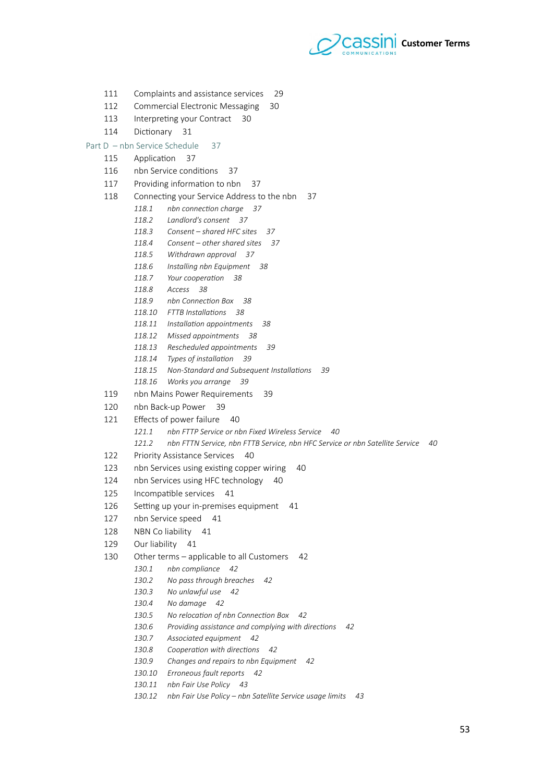

- 111 Complaints and assistance services 29
- 112 Commercial Electronic Messaging 30
- 113 Interpreting your Contract 30
- 114 Dictionary 31
- Part D nbn Service Schedule 37
	- 115 Application 37
	- 116 nbn Service conditions 37
	- 117 Providing information to nbn 37
	- 118 Connecting your Service Address to the nbn 37
		- 118.1 nbn connection charge 37
		- 118.2 Landlord's consent 37
		- 118.3 Consent shared HFC sites 37
		- 118.4 Consent other shared sites 37
		- 118.5 Withdrawn approval 37
		- 118.6 Installing nbn Equipment 38
		- 118.7 Your cooperation 38
		- 118.8 Access 38
		- 118.9 nbn Connection Box 38
		- *118.10 FTTB Inetallatine 38*
		- 118.11 Installation appointments 38
		- 118.12 Missed appointments 38
		- 118.13 Rescheduled appointments 39
		- 118.14 Types of installation 39
		- 118.15 Non-Standard and Subsequent Installations 39
		- *118.16 Wirke is arrangt 39*
	- 119 nbn Mains Power Requirements 39
	- 120 nbn Back-up Power 39
	- 121 Effects of power failure 40
		- 121.1 nbn FTTP Service or nbn Fixed Wireless Service 40
		- 121.2 nbn FTTN Service, nbn FTTB Service, nbn HFC Service or nbn Satellite Service 40
	- 122 Priority Assistance Services 40
	- 123 nbn Services using existing copper wiring 40
	- 124 nbn Services using HFC technology 40
	- 125 Incompatible services 41
	- 126 Setting up your in-premises equipment 41
	- 127 nbn Service speed 41
	- 128 NBN Co liability 41
	- 129 Our liability 41
	- 130 Other terms applicable to all Customers 42
		- 130.1 nbn compliance 42
		- 130.2 No pass through breaches 42
		- 130.3 No unlawful use 42
		- *130.4 Ni damagt 42*
		- 130.5 No relocation of nbn Connection Box 42
		- 130.6 Providing assistance and complying with directions 42
		- 130.7 Associated equipment 42
		- 130.8 Cooperation with directions 42
		- 130.9 Changes and repairs to nbn Equipment 42
		- 130.10 Erroneous fault reports 42
		- 130.11 nbn Fair Use Policy 43
		- 130.12 nbn Fair Use Policy nbn Satellite Service usage limits 43